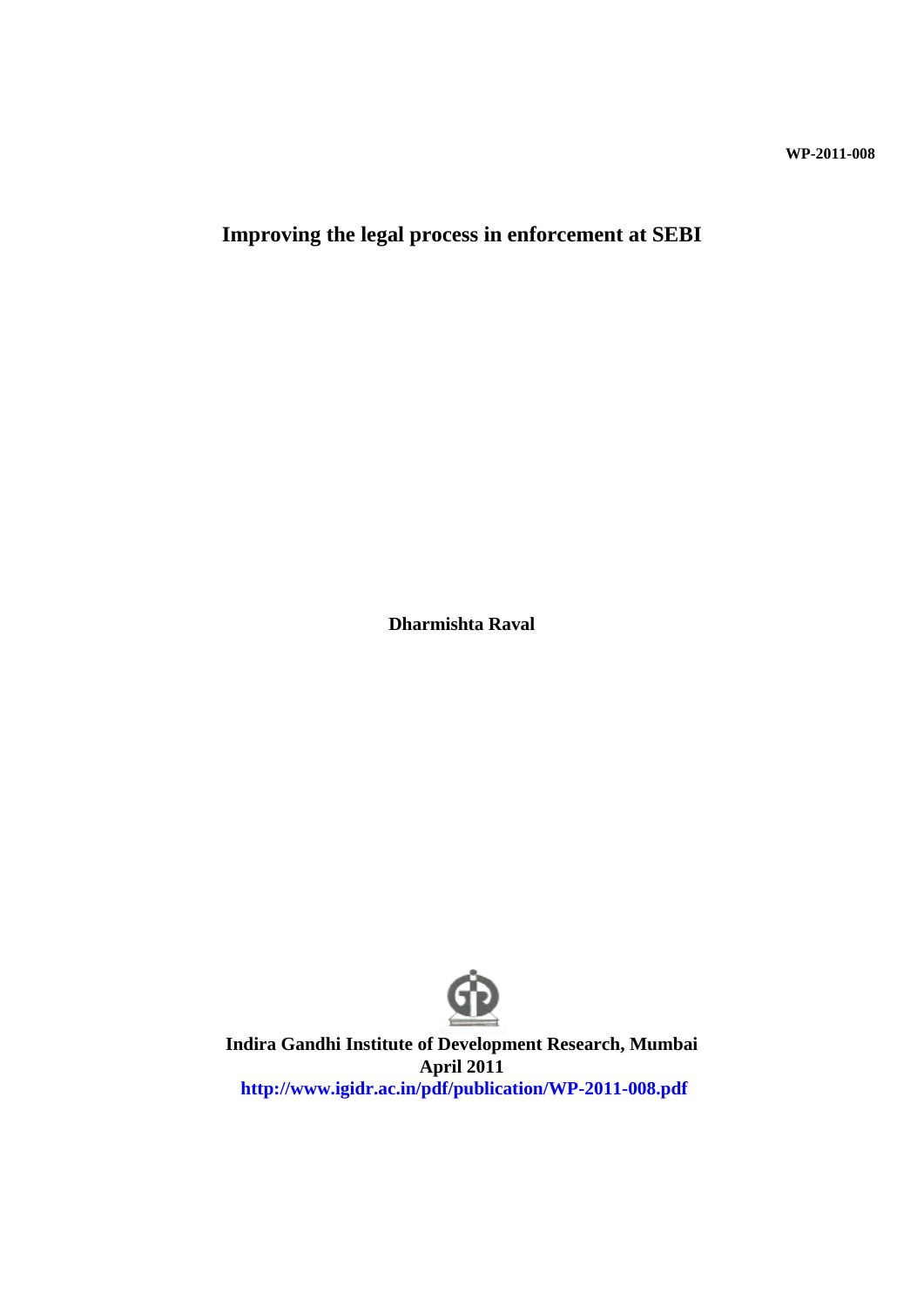**WP-2011-008**

**Improving the legal process in enforcement at SEBI**

**Dharmishta Raval**



**Indira Gandhi Institute of Development Research, Mumbai April 2011 http://www.igidr.ac.in/pdf/publication/WP-2011-008.pdf**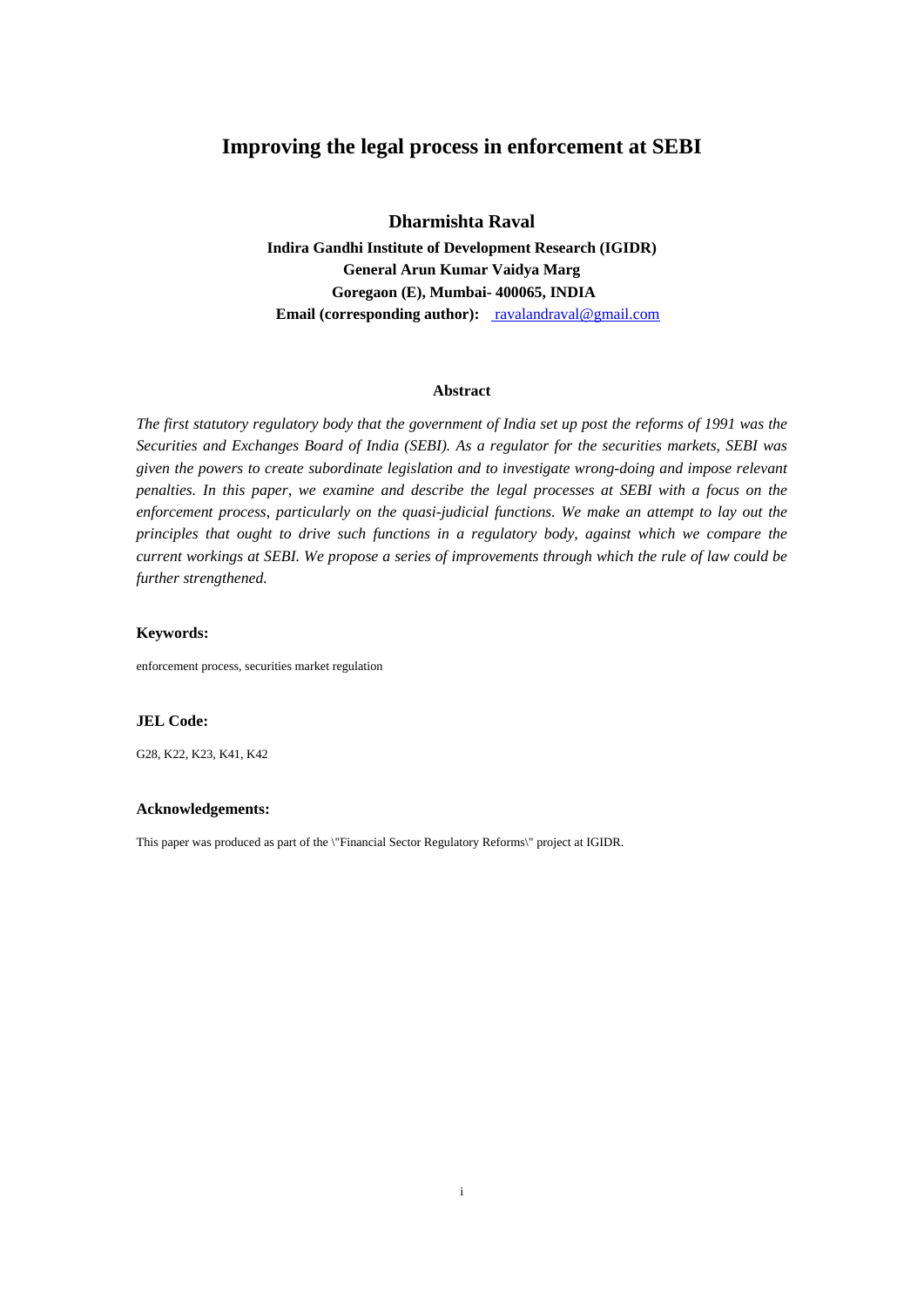### **Improving the legal process in enforcement at SEBI**

**Dharmishta Raval**

**Indira Gandhi Institute of Development Research (IGIDR) General Arun Kumar Vaidya Marg Goregaon (E), Mumbai- 400065, INDIA Email (corresponding author):** ravalandraval@gmail.com

#### **Abstract**

*The first statutory regulatory body that the government of India set up post the reforms of 1991 was the Securities and Exchanges Board of India (SEBI). As a regulator for the securities markets, SEBI was given the powers to create subordinate legislation and to investigate wrong-doing and impose relevant penalties. In this paper, we examine and describe the legal processes at SEBI with a focus on the enforcement process, particularly on the quasi-judicial functions. We make an attempt to lay out the principles that ought to drive such functions in a regulatory body, against which we compare the current workings at SEBI. We propose a series of improvements through which the rule of law could be further strengthened.*

#### **Keywords:**

enforcement process, securities market regulation

#### **JEL Code:**

G28, K22, K23, K41, K42

#### **Acknowledgements:**

This paper was produced as part of the \"Financial Sector Regulatory Reforms\" project at IGIDR.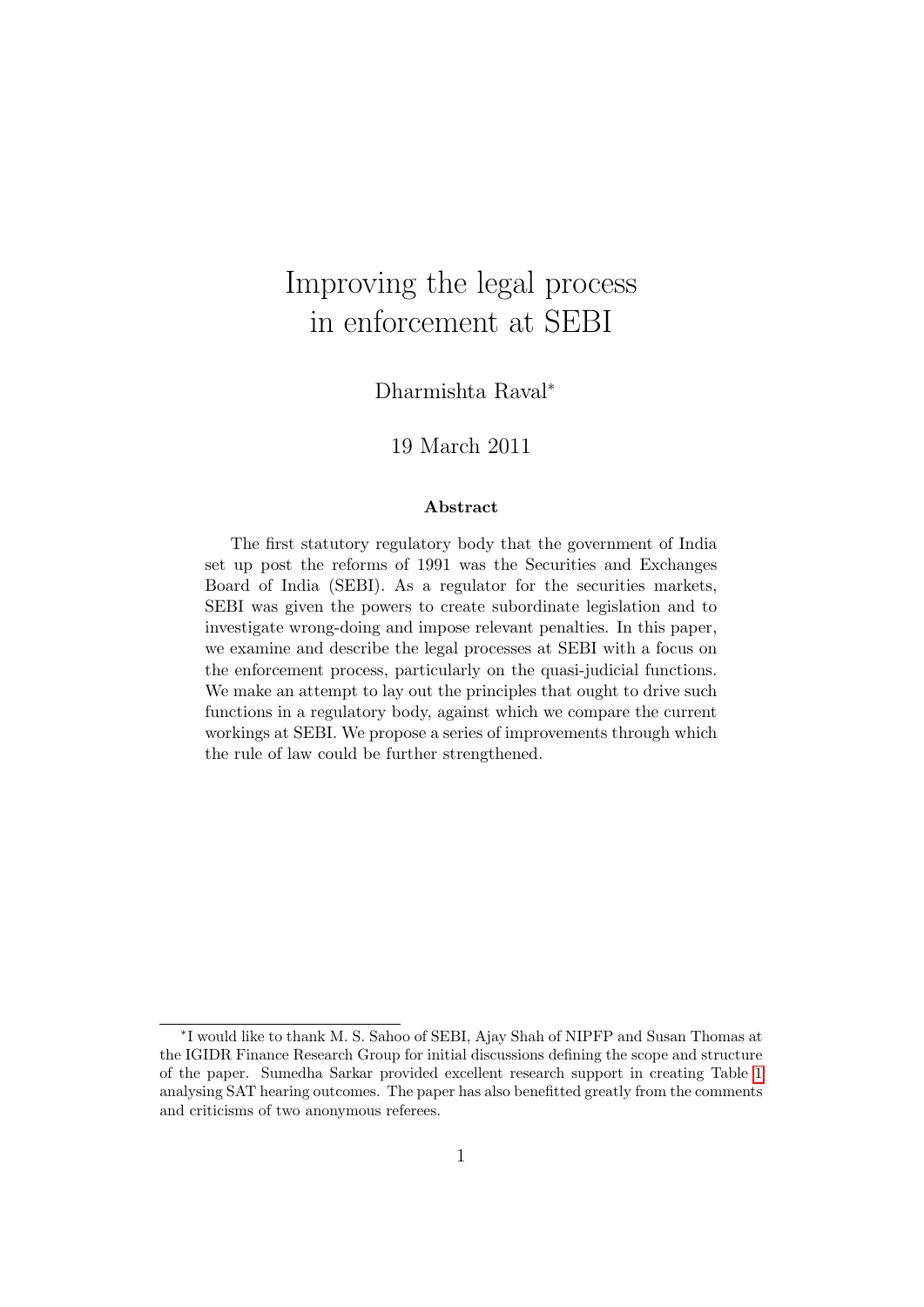# Improving the legal process in enforcement at SEBI

Dharmishta Raval<sup>∗</sup>

### 19 March 2011

#### Abstract

The first statutory regulatory body that the government of India set up post the reforms of 1991 was the Securities and Exchanges Board of India (SEBI). As a regulator for the securities markets, SEBI was given the powers to create subordinate legislation and to investigate wrong-doing and impose relevant penalties. In this paper, we examine and describe the legal processes at SEBI with a focus on the enforcement process, particularly on the quasi-judicial functions. We make an attempt to lay out the principles that ought to drive such functions in a regulatory body, against which we compare the current workings at SEBI. We propose a series of improvements through which the rule of law could be further strengthened.

<sup>∗</sup> I would like to thank M. S. Sahoo of SEBI, Ajay Shah of NIPFP and Susan Thomas at the IGIDR Finance Research Group for initial discussions defining the scope and structure of the paper. Sumedha Sarkar provided excellent research support in creating Table [1](#page-21-0) analysing SAT hearing outcomes. The paper has also benefitted greatly from the comments and criticisms of two anonymous referees.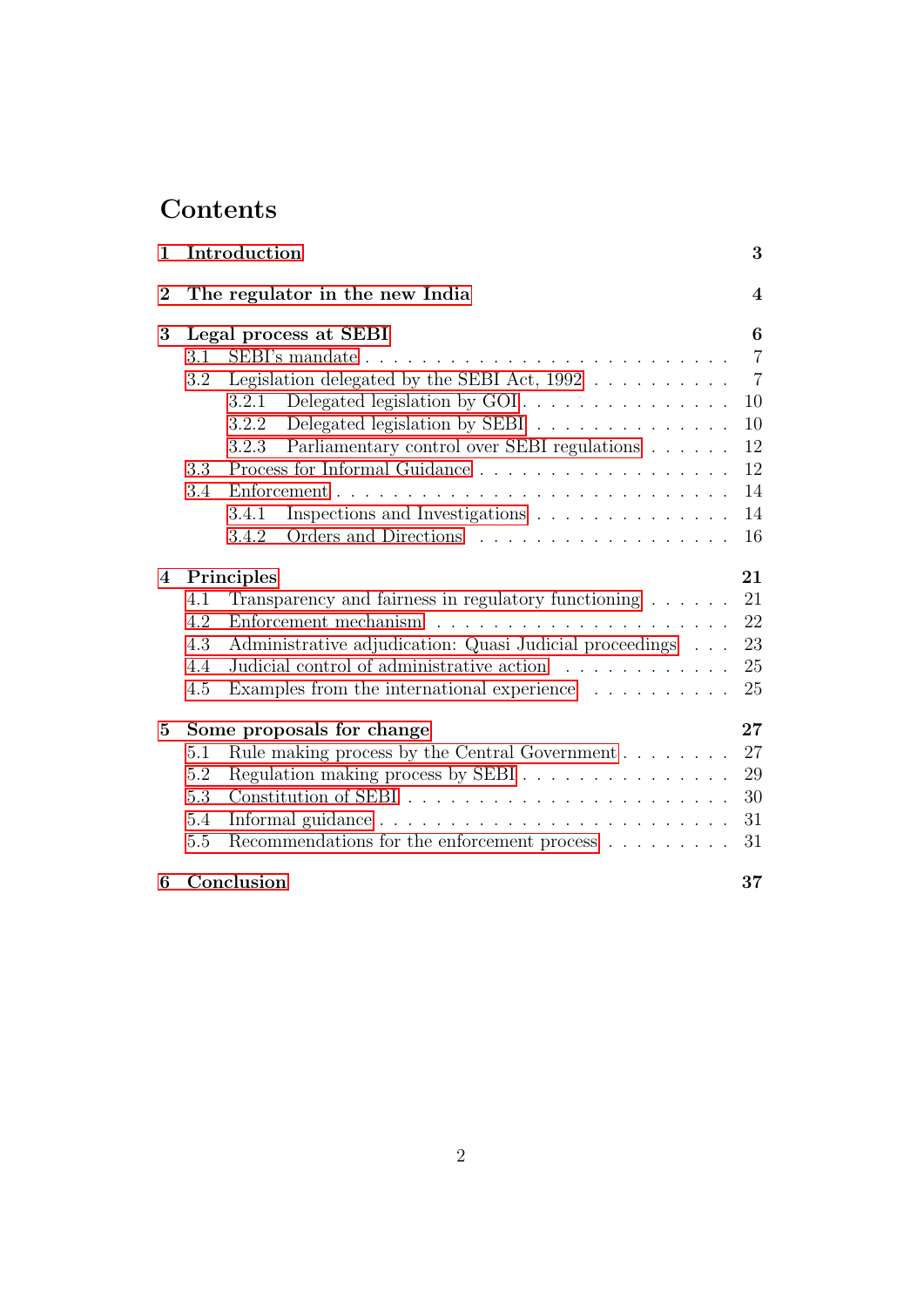# **Contents**

| $\mathbf{1}$     |                                 | Introduction                                                                | 3              |  |  |  |  |  |
|------------------|---------------------------------|-----------------------------------------------------------------------------|----------------|--|--|--|--|--|
| $\bf{2}$         | The regulator in the new India  |                                                                             |                |  |  |  |  |  |
| 3                | Legal process at SEBI           |                                                                             |                |  |  |  |  |  |
|                  | 3.1                             |                                                                             | $\overline{7}$ |  |  |  |  |  |
|                  | 3.2                             | Legislation delegated by the SEBI Act, $1992$                               | $\overline{7}$ |  |  |  |  |  |
|                  |                                 | 3.2.1                                                                       | 10             |  |  |  |  |  |
|                  |                                 | Delegated legislation by SEBI<br>3.2.2                                      | 10             |  |  |  |  |  |
|                  |                                 | Parliamentary control over SEBI regulations $\hfill\ldots\ldots$ .<br>3.2.3 | 12             |  |  |  |  |  |
|                  | 3.3                             |                                                                             | 12             |  |  |  |  |  |
|                  | 3.4                             |                                                                             | 14             |  |  |  |  |  |
|                  |                                 | Inspections and Investigations<br>3.4.1                                     | 14             |  |  |  |  |  |
|                  |                                 | 3.4.2                                                                       | 16             |  |  |  |  |  |
| $\boldsymbol{4}$ | Principles                      |                                                                             |                |  |  |  |  |  |
|                  | 4.1                             | Transparency and fairness in regulatory functioning                         | 21             |  |  |  |  |  |
|                  | 4.2                             | Enforcement mechanism                                                       | 22             |  |  |  |  |  |
|                  | 4.3                             | Administrative adjudication: Quasi Judicial proceedings                     | 23             |  |  |  |  |  |
|                  | 4.4                             | Judicial control of administrative action                                   | 25             |  |  |  |  |  |
|                  | 4.5                             | Examples from the international experience                                  | 25             |  |  |  |  |  |
| $5\overline{)}$  | Some proposals for change<br>27 |                                                                             |                |  |  |  |  |  |
|                  | 5.1                             |                                                                             | 27             |  |  |  |  |  |
|                  | 5.2                             | Regulation making process by SEBI                                           | 29             |  |  |  |  |  |
|                  | 5.3                             |                                                                             | 30             |  |  |  |  |  |
|                  | 5.4                             |                                                                             | 31             |  |  |  |  |  |
|                  | 5.5                             | Recommendations for the enforcement process $\dots \dots$                   | 31             |  |  |  |  |  |
| 6                |                                 | Conclusion                                                                  | 37             |  |  |  |  |  |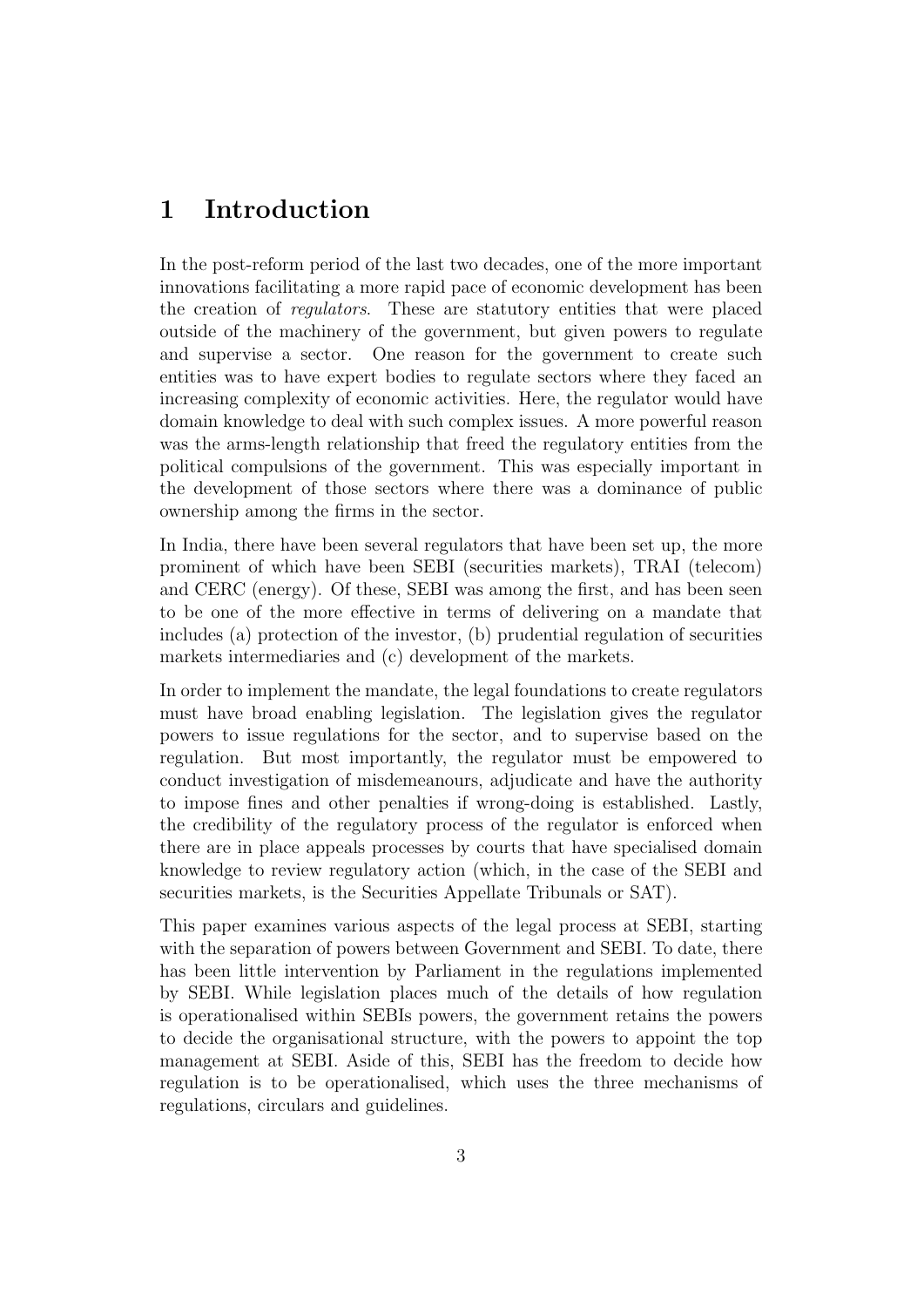## <span id="page-4-0"></span>1 Introduction

In the post-reform period of the last two decades, one of the more important innovations facilitating a more rapid pace of economic development has been the creation of regulators. These are statutory entities that were placed outside of the machinery of the government, but given powers to regulate and supervise a sector. One reason for the government to create such entities was to have expert bodies to regulate sectors where they faced an increasing complexity of economic activities. Here, the regulator would have domain knowledge to deal with such complex issues. A more powerful reason was the arms-length relationship that freed the regulatory entities from the political compulsions of the government. This was especially important in the development of those sectors where there was a dominance of public ownership among the firms in the sector.

In India, there have been several regulators that have been set up, the more prominent of which have been SEBI (securities markets), TRAI (telecom) and CERC (energy). Of these, SEBI was among the first, and has been seen to be one of the more effective in terms of delivering on a mandate that includes (a) protection of the investor, (b) prudential regulation of securities markets intermediaries and (c) development of the markets.

In order to implement the mandate, the legal foundations to create regulators must have broad enabling legislation. The legislation gives the regulator powers to issue regulations for the sector, and to supervise based on the regulation. But most importantly, the regulator must be empowered to conduct investigation of misdemeanours, adjudicate and have the authority to impose fines and other penalties if wrong-doing is established. Lastly, the credibility of the regulatory process of the regulator is enforced when there are in place appeals processes by courts that have specialised domain knowledge to review regulatory action (which, in the case of the SEBI and securities markets, is the Securities Appellate Tribunals or SAT).

This paper examines various aspects of the legal process at SEBI, starting with the separation of powers between Government and SEBI. To date, there has been little intervention by Parliament in the regulations implemented by SEBI. While legislation places much of the details of how regulation is operationalised within SEBIs powers, the government retains the powers to decide the organisational structure, with the powers to appoint the top management at SEBI. Aside of this, SEBI has the freedom to decide how regulation is to be operationalised, which uses the three mechanisms of regulations, circulars and guidelines.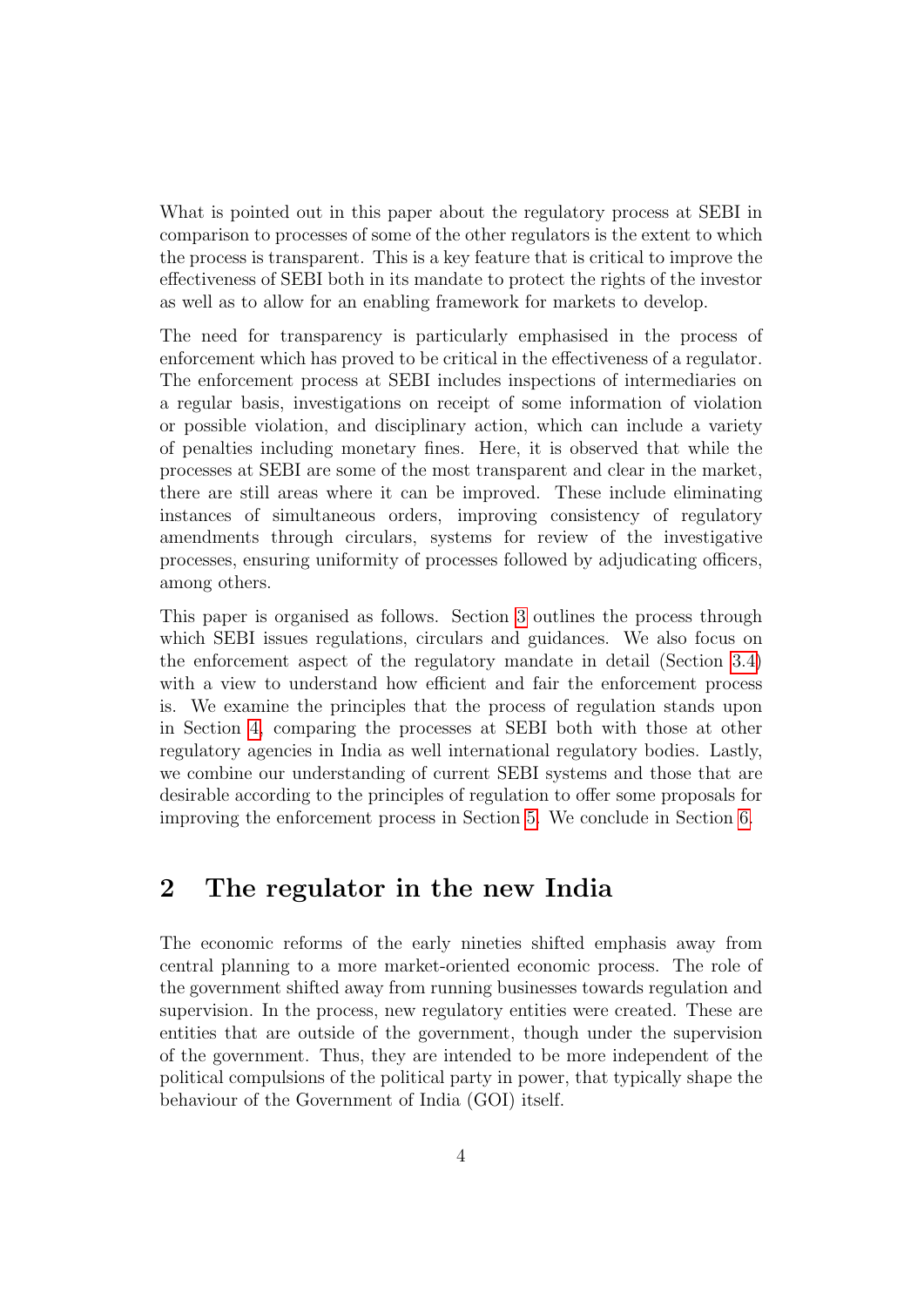What is pointed out in this paper about the regulatory process at SEBI in comparison to processes of some of the other regulators is the extent to which the process is transparent. This is a key feature that is critical to improve the effectiveness of SEBI both in its mandate to protect the rights of the investor as well as to allow for an enabling framework for markets to develop.

The need for transparency is particularly emphasised in the process of enforcement which has proved to be critical in the effectiveness of a regulator. The enforcement process at SEBI includes inspections of intermediaries on a regular basis, investigations on receipt of some information of violation or possible violation, and disciplinary action, which can include a variety of penalties including monetary fines. Here, it is observed that while the processes at SEBI are some of the most transparent and clear in the market, there are still areas where it can be improved. These include eliminating instances of simultaneous orders, improving consistency of regulatory amendments through circulars, systems for review of the investigative processes, ensuring uniformity of processes followed by adjudicating officers, among others.

This paper is organised as follows. Section [3](#page-7-0) outlines the process through which SEBI issues regulations, circulars and guidances. We also focus on the enforcement aspect of the regulatory mandate in detail (Section [3.4\)](#page-15-0) with a view to understand how efficient and fair the enforcement process is. We examine the principles that the process of regulation stands upon in Section [4,](#page-22-0) comparing the processes at SEBI both with those at other regulatory agencies in India as well international regulatory bodies. Lastly, we combine our understanding of current SEBI systems and those that are desirable according to the principles of regulation to offer some proposals for improving the enforcement process in Section [5.](#page-28-0) We conclude in Section [6.](#page-38-0)

### <span id="page-5-0"></span>2 The regulator in the new India

The economic reforms of the early nineties shifted emphasis away from central planning to a more market-oriented economic process. The role of the government shifted away from running businesses towards regulation and supervision. In the process, new regulatory entities were created. These are entities that are outside of the government, though under the supervision of the government. Thus, they are intended to be more independent of the political compulsions of the political party in power, that typically shape the behaviour of the Government of India (GOI) itself.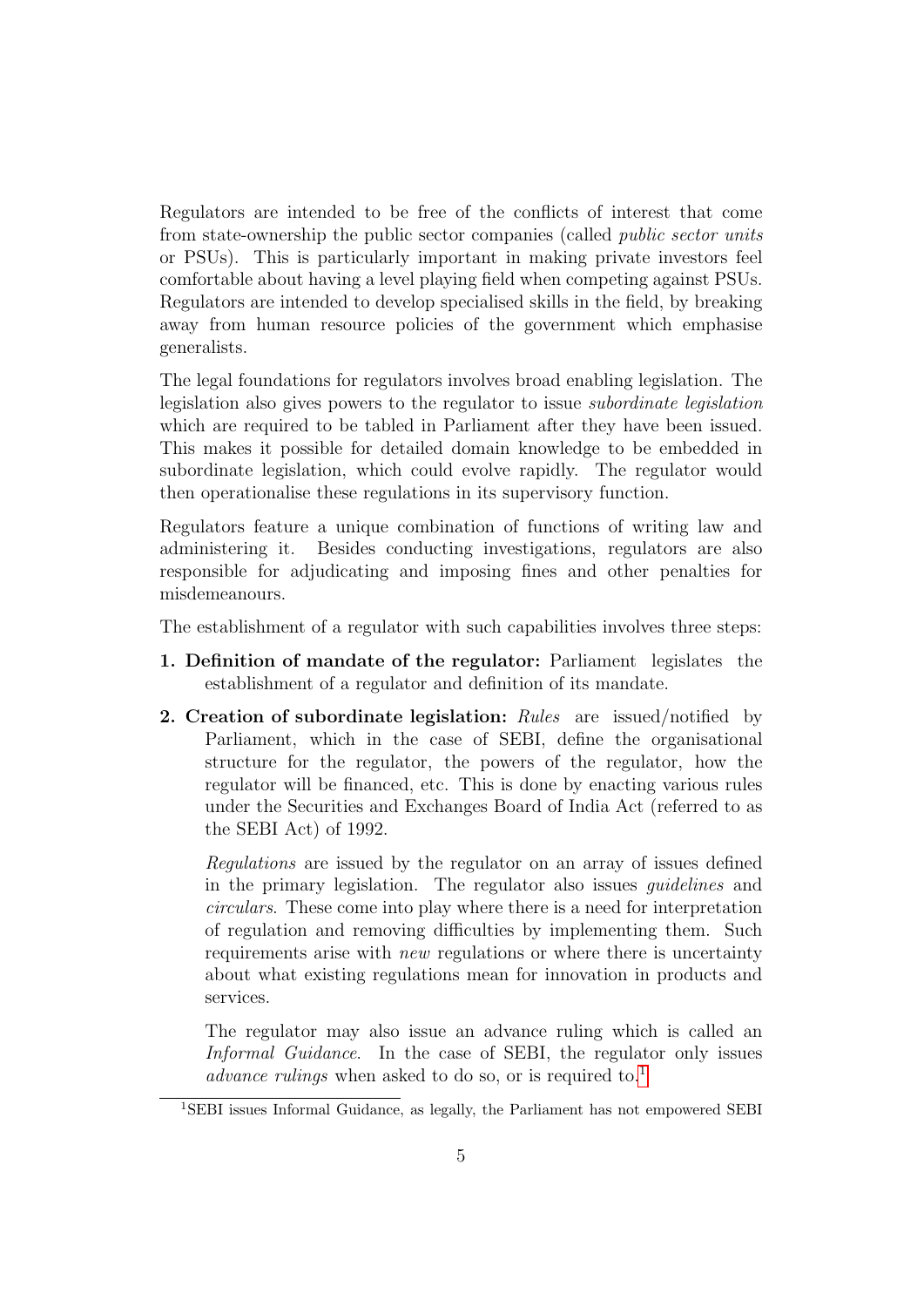Regulators are intended to be free of the conflicts of interest that come from state-ownership the public sector companies (called public sector units or PSUs). This is particularly important in making private investors feel comfortable about having a level playing field when competing against PSUs. Regulators are intended to develop specialised skills in the field, by breaking away from human resource policies of the government which emphasise generalists.

The legal foundations for regulators involves broad enabling legislation. The legislation also gives powers to the regulator to issue subordinate legislation which are required to be tabled in Parliament after they have been issued. This makes it possible for detailed domain knowledge to be embedded in subordinate legislation, which could evolve rapidly. The regulator would then operationalise these regulations in its supervisory function.

Regulators feature a unique combination of functions of writing law and administering it. Besides conducting investigations, regulators are also responsible for adjudicating and imposing fines and other penalties for misdemeanours.

The establishment of a regulator with such capabilities involves three steps:

- 1. Definition of mandate of the regulator: Parliament legislates the establishment of a regulator and definition of its mandate.
- 2. Creation of subordinate legislation:  $Rules$  are issued/notified by Parliament, which in the case of SEBI, define the organisational structure for the regulator, the powers of the regulator, how the regulator will be financed, etc. This is done by enacting various rules under the Securities and Exchanges Board of India Act (referred to as the SEBI Act) of 1992.

Regulations are issued by the regulator on an array of issues defined in the primary legislation. The regulator also issues guidelines and circulars. These come into play where there is a need for interpretation of regulation and removing difficulties by implementing them. Such requirements arise with *new* regulations or where there is uncertainty about what existing regulations mean for innovation in products and services.

The regulator may also issue an advance ruling which is called an Informal Guidance. In the case of SEBI, the regulator only issues advance rulings when asked to do so, or is required to.<sup>[1](#page-6-0)</sup>

<span id="page-6-0"></span><sup>1</sup>SEBI issues Informal Guidance, as legally, the Parliament has not empowered SEBI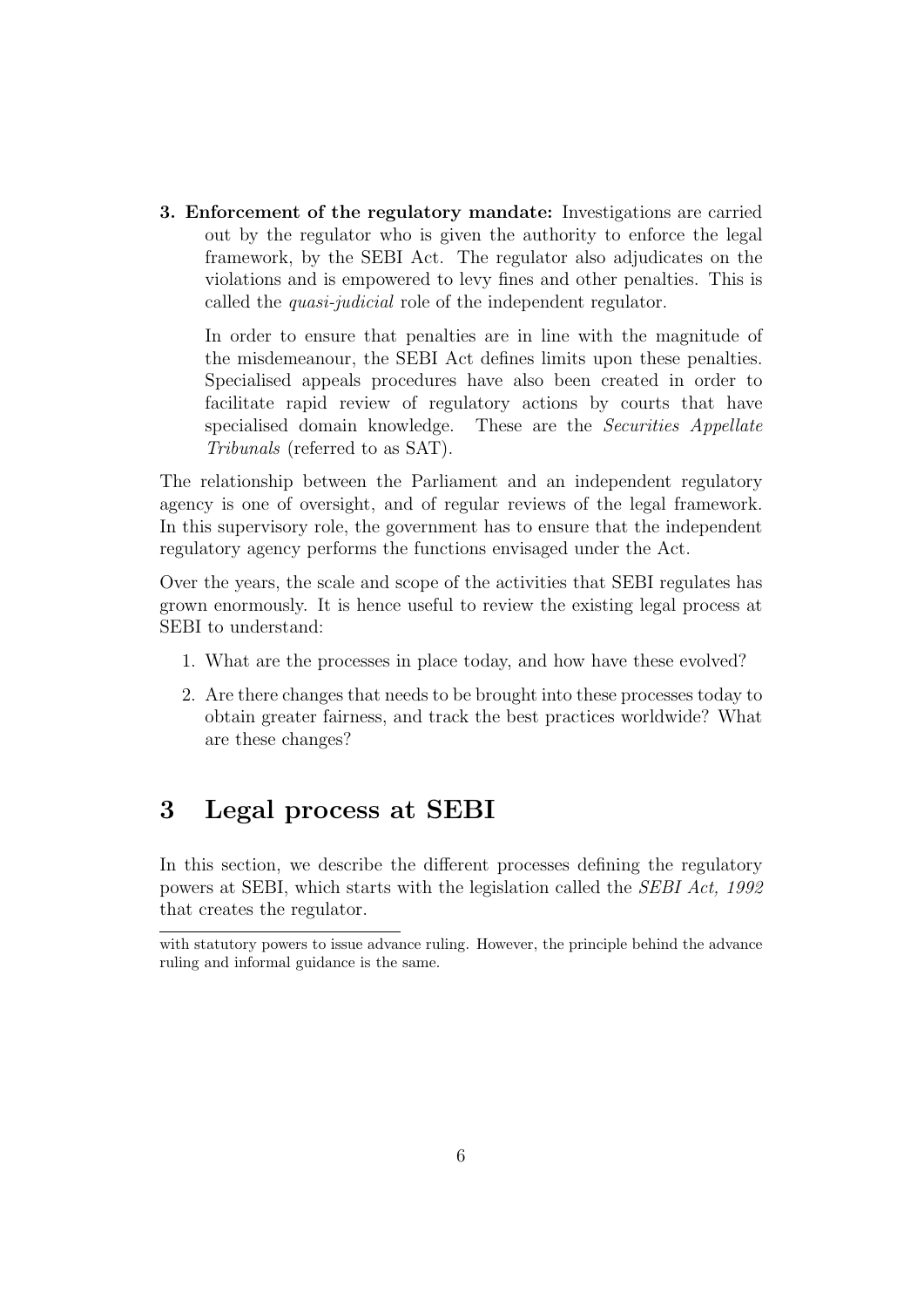3. Enforcement of the regulatory mandate: Investigations are carried out by the regulator who is given the authority to enforce the legal framework, by the SEBI Act. The regulator also adjudicates on the violations and is empowered to levy fines and other penalties. This is called the quasi-judicial role of the independent regulator.

In order to ensure that penalties are in line with the magnitude of the misdemeanour, the SEBI Act defines limits upon these penalties. Specialised appeals procedures have also been created in order to facilitate rapid review of regulatory actions by courts that have specialised domain knowledge. These are the *Securities Appellate* Tribunals (referred to as SAT).

The relationship between the Parliament and an independent regulatory agency is one of oversight, and of regular reviews of the legal framework. In this supervisory role, the government has to ensure that the independent regulatory agency performs the functions envisaged under the Act.

Over the years, the scale and scope of the activities that SEBI regulates has grown enormously. It is hence useful to review the existing legal process at SEBI to understand:

- 1. What are the processes in place today, and how have these evolved?
- 2. Are there changes that needs to be brought into these processes today to obtain greater fairness, and track the best practices worldwide? What are these changes?

## <span id="page-7-0"></span>3 Legal process at SEBI

In this section, we describe the different processes defining the regulatory powers at SEBI, which starts with the legislation called the SEBI Act, 1992 that creates the regulator.

with statutory powers to issue advance ruling. However, the principle behind the advance ruling and informal guidance is the same.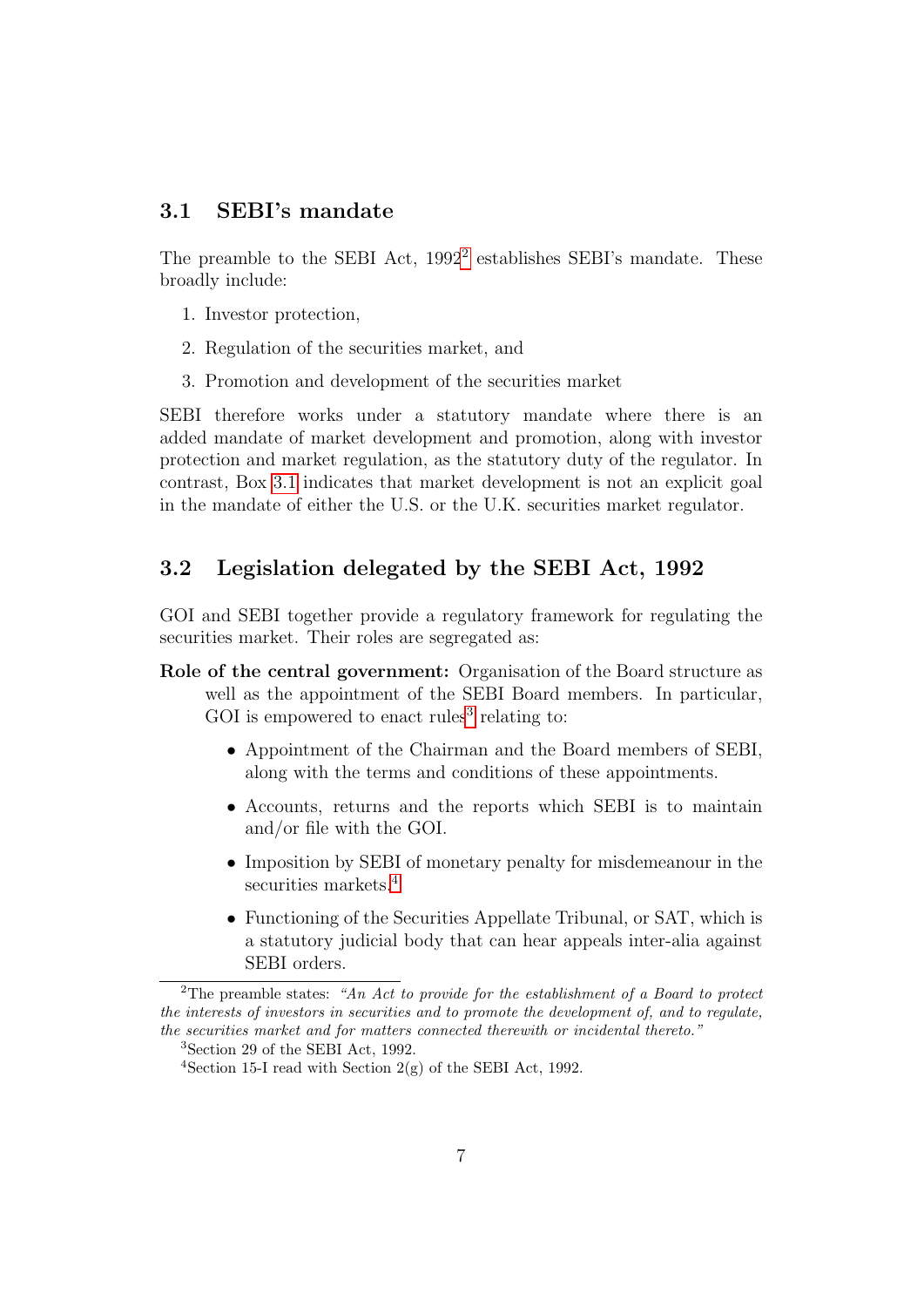### <span id="page-8-0"></span>3.1 SEBI's mandate

The preamble to the SEBI Act, 199[2](#page-8-2)<sup>2</sup> establishes SEBI's mandate. These broadly include:

- 1. Investor protection,
- 2. Regulation of the securities market, and
- 3. Promotion and development of the securities market

SEBI therefore works under a statutory mandate where there is an added mandate of market development and promotion, along with investor protection and market regulation, as the statutory duty of the regulator. In contrast, Box [3.1](#page-9-0) indicates that market development is not an explicit goal in the mandate of either the U.S. or the U.K. securities market regulator.

### <span id="page-8-1"></span>3.2 Legislation delegated by the SEBI Act, 1992

GOI and SEBI together provide a regulatory framework for regulating the securities market. Their roles are segregated as:

- Role of the central government: Organisation of the Board structure as well as the appointment of the SEBI Board members. In particular, GOI is empowered to enact rules<sup>[3](#page-8-3)</sup> relating to:
	- Appointment of the Chairman and the Board members of SEBI, along with the terms and conditions of these appointments.
	- Accounts, returns and the reports which SEBI is to maintain and/or file with the GOI.
	- Imposition by SEBI of monetary penalty for misdemeanour in the securities markets.<sup>[4](#page-8-4)</sup>
	- Functioning of the Securities Appellate Tribunal, or SAT, which is a statutory judicial body that can hear appeals inter-alia against SEBI orders.

<span id="page-8-2"></span><sup>&</sup>lt;sup>2</sup>The preamble states: "An Act to provide for the establishment of a Board to protect the interests of investors in securities and to promote the development of, and to regulate, the securities market and for matters connected therewith or incidental thereto."

<span id="page-8-3"></span><sup>3</sup>Section 29 of the SEBI Act, 1992.

<span id="page-8-4"></span><sup>&</sup>lt;sup>4</sup>Section 15-I read with Section  $2(g)$  of the SEBI Act, 1992.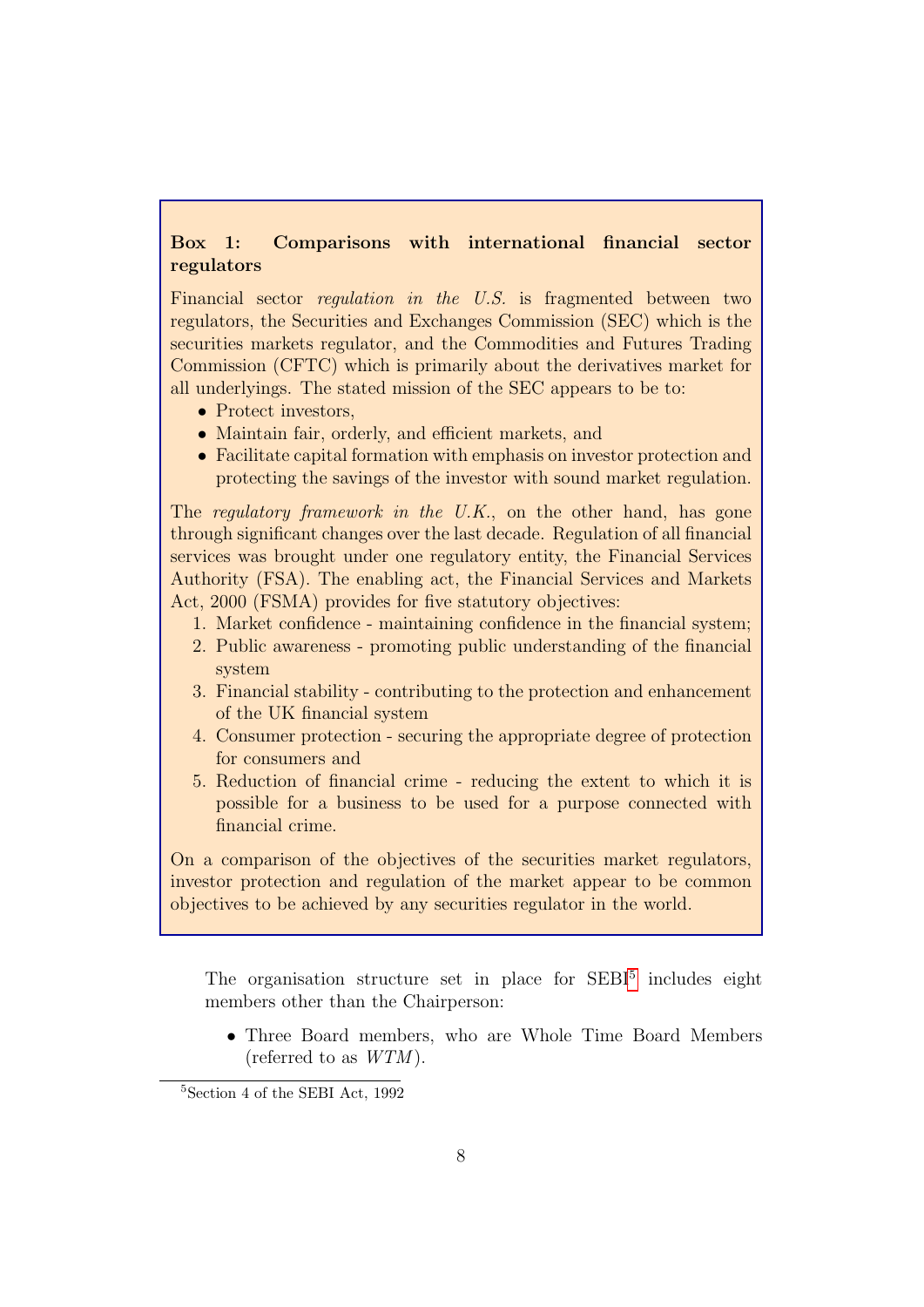### <span id="page-9-0"></span>Box 1: Comparisons with international financial sector regulators

Financial sector regulation in the U.S. is fragmented between two regulators, the Securities and Exchanges Commission (SEC) which is the securities markets regulator, and the Commodities and Futures Trading Commission (CFTC) which is primarily about the derivatives market for all underlyings. The stated mission of the SEC appears to be to:

- Protect investors,
- Maintain fair, orderly, and efficient markets, and
- Facilitate capital formation with emphasis on investor protection and protecting the savings of the investor with sound market regulation.

The regulatory framework in the U.K., on the other hand, has gone through significant changes over the last decade. Regulation of all financial services was brought under one regulatory entity, the Financial Services Authority (FSA). The enabling act, the Financial Services and Markets Act, 2000 (FSMA) provides for five statutory objectives:

- 1. Market confidence maintaining confidence in the financial system;
- 2. Public awareness promoting public understanding of the financial system
- 3. Financial stability contributing to the protection and enhancement of the UK financial system
- 4. Consumer protection securing the appropriate degree of protection for consumers and
- 5. Reduction of financial crime reducing the extent to which it is possible for a business to be used for a purpose connected with financial crime.

On a comparison of the objectives of the securities market regulators, investor protection and regulation of the market appear to be common objectives to be achieved by any securities regulator in the world.

The organisation structure set in place for SEBI<sup>[5](#page-9-1)</sup> includes eight members other than the Chairperson:

• Three Board members, who are Whole Time Board Members (referred to as  $WTM$ ).

<span id="page-9-1"></span><sup>5</sup>Section 4 of the SEBI Act, 1992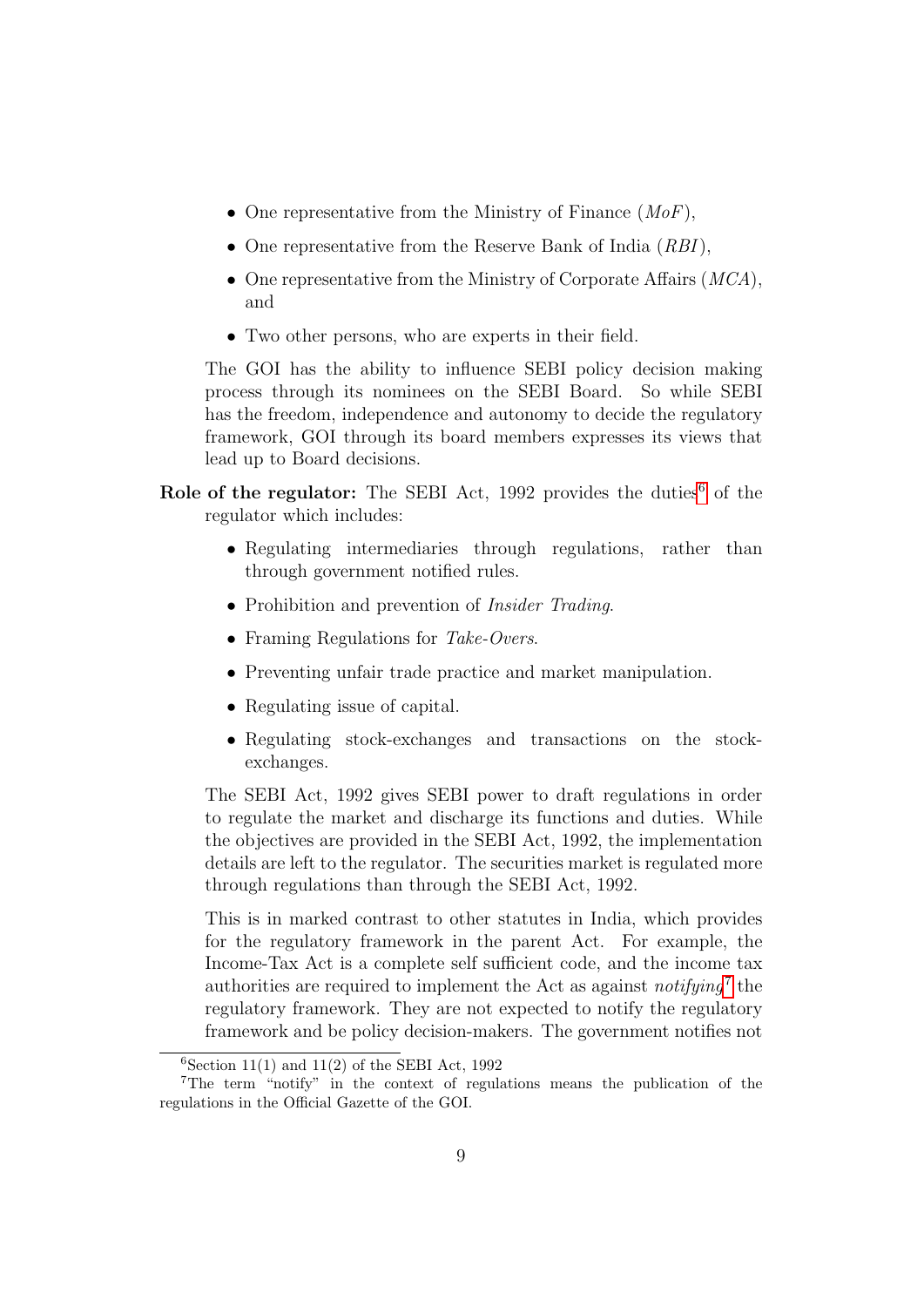- One representative from the Ministry of Finance  $(MoF)$ ,
- One representative from the Reserve Bank of India (RBI),
- One representative from the Ministry of Corporate Affairs (*MCA*), and
- Two other persons, who are experts in their field.

The GOI has the ability to influence SEBI policy decision making process through its nominees on the SEBI Board. So while SEBI has the freedom, independence and autonomy to decide the regulatory framework, GOI through its board members expresses its views that lead up to Board decisions.

- Role of the regulator: The SEBI Act, 1992 provides the duties<sup>[6](#page-10-0)</sup> of the regulator which includes:
	- Regulating intermediaries through regulations, rather than through government notified rules.
	- Prohibition and prevention of *Insider Trading*.
	- Framing Regulations for Take-Overs.
	- Preventing unfair trade practice and market manipulation.
	- Regulating issue of capital.
	- Regulating stock-exchanges and transactions on the stockexchanges.

The SEBI Act, 1992 gives SEBI power to draft regulations in order to regulate the market and discharge its functions and duties. While the objectives are provided in the SEBI Act, 1992, the implementation details are left to the regulator. The securities market is regulated more through regulations than through the SEBI Act, 1992.

This is in marked contrast to other statutes in India, which provides for the regulatory framework in the parent Act. For example, the Income-Tax Act is a complete self sufficient code, and the income tax authorities are required to implement the Act as against  $notifying<sup>7</sup>$  $notifying<sup>7</sup>$  $notifying<sup>7</sup>$  the regulatory framework. They are not expected to notify the regulatory framework and be policy decision-makers. The government notifies not

<span id="page-10-1"></span><span id="page-10-0"></span> $6$ Section 11(1) and 11(2) of the SEBI Act, 1992

<sup>7</sup>The term "notify" in the context of regulations means the publication of the regulations in the Official Gazette of the GOI.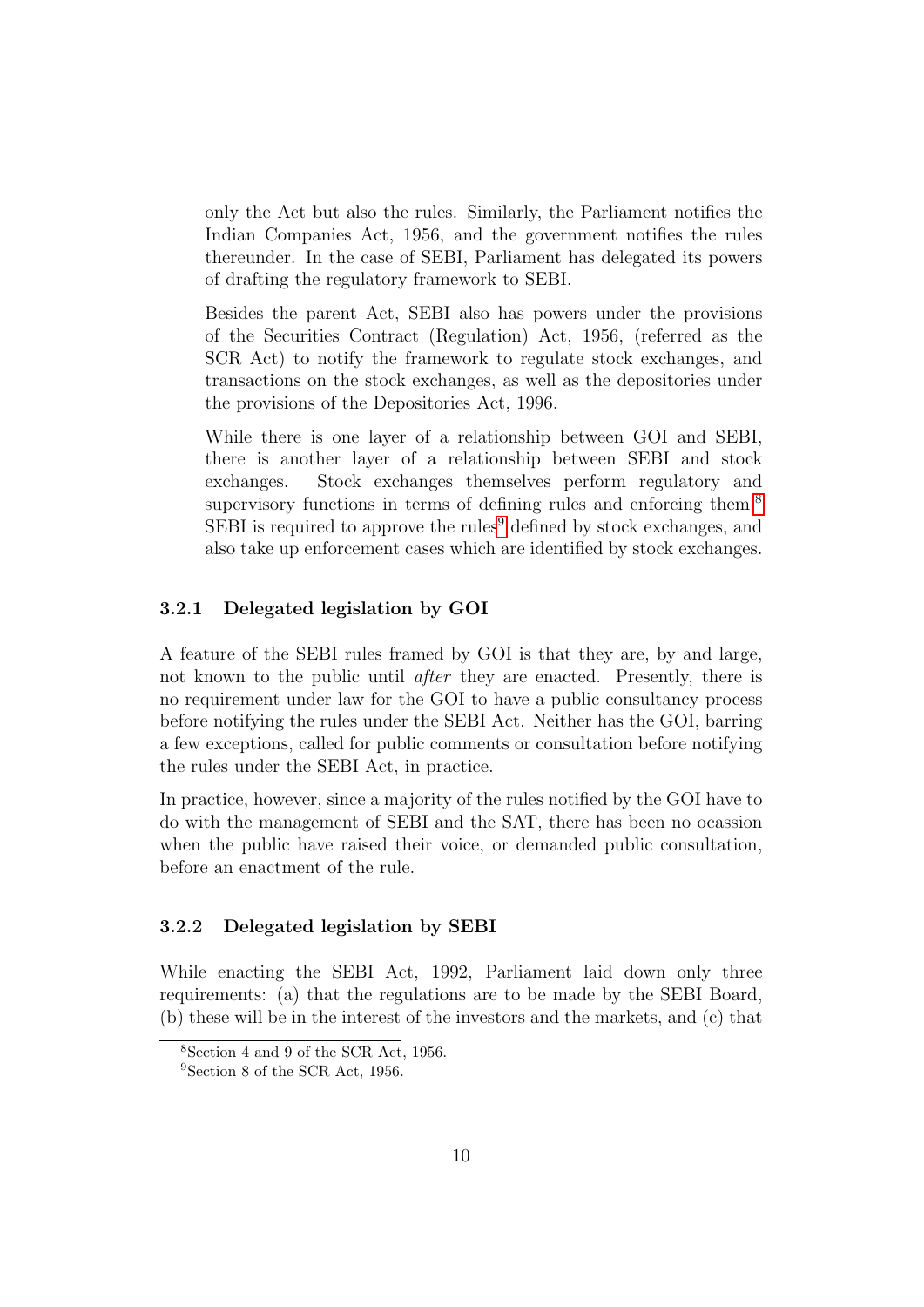only the Act but also the rules. Similarly, the Parliament notifies the Indian Companies Act, 1956, and the government notifies the rules thereunder. In the case of SEBI, Parliament has delegated its powers of drafting the regulatory framework to SEBI.

Besides the parent Act, SEBI also has powers under the provisions of the Securities Contract (Regulation) Act, 1956, (referred as the SCR Act) to notify the framework to regulate stock exchanges, and transactions on the stock exchanges, as well as the depositories under the provisions of the Depositories Act, 1996.

While there is one layer of a relationship between GOI and SEBI, there is another layer of a relationship between SEBI and stock exchanges. Stock exchanges themselves perform regulatory and supervisory functions in terms of defining rules and enforcing them.<sup>[8](#page-11-2)</sup> SEBI is required to approve the rules<sup>[9](#page-11-3)</sup> defined by stock exchanges, and also take up enforcement cases which are identified by stock exchanges.

### <span id="page-11-0"></span>3.2.1 Delegated legislation by GOI

A feature of the SEBI rules framed by GOI is that they are, by and large, not known to the public until after they are enacted. Presently, there is no requirement under law for the GOI to have a public consultancy process before notifying the rules under the SEBI Act. Neither has the GOI, barring a few exceptions, called for public comments or consultation before notifying the rules under the SEBI Act, in practice.

In practice, however, since a majority of the rules notified by the GOI have to do with the management of SEBI and the SAT, there has been no ocassion when the public have raised their voice, or demanded public consultation, before an enactment of the rule.

### <span id="page-11-1"></span>3.2.2 Delegated legislation by SEBI

While enacting the SEBI Act, 1992, Parliament laid down only three requirements: (a) that the regulations are to be made by the SEBI Board, (b) these will be in the interest of the investors and the markets, and (c) that

<span id="page-11-2"></span><sup>8</sup>Section 4 and 9 of the SCR Act, 1956.

<span id="page-11-3"></span><sup>9</sup>Section 8 of the SCR Act, 1956.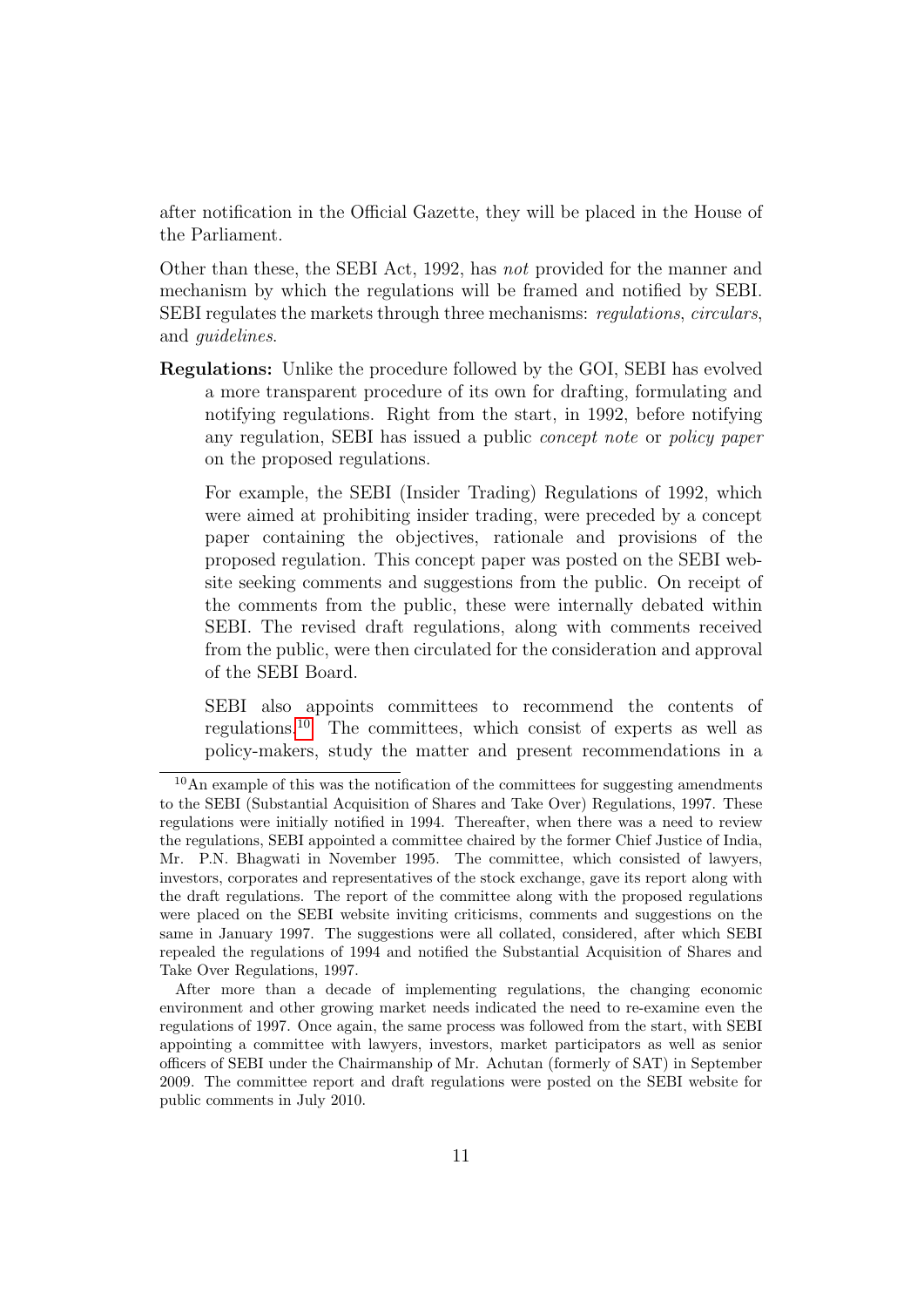after notification in the Official Gazette, they will be placed in the House of the Parliament.

Other than these, the SEBI Act, 1992, has not provided for the manner and mechanism by which the regulations will be framed and notified by SEBI. SEBI regulates the markets through three mechanisms: regulations, circulars, and guidelines.

Regulations: Unlike the procedure followed by the GOI, SEBI has evolved a more transparent procedure of its own for drafting, formulating and notifying regulations. Right from the start, in 1992, before notifying any regulation, SEBI has issued a public concept note or policy paper on the proposed regulations.

For example, the SEBI (Insider Trading) Regulations of 1992, which were aimed at prohibiting insider trading, were preceded by a concept paper containing the objectives, rationale and provisions of the proposed regulation. This concept paper was posted on the SEBI website seeking comments and suggestions from the public. On receipt of the comments from the public, these were internally debated within SEBI. The revised draft regulations, along with comments received from the public, were then circulated for the consideration and approval of the SEBI Board.

SEBI also appoints committees to recommend the contents of regulations.[10](#page-12-0) The committees, which consist of experts as well as policy-makers, study the matter and present recommendations in a

<span id="page-12-0"></span> $10$ An example of this was the notification of the committees for suggesting amendments to the SEBI (Substantial Acquisition of Shares and Take Over) Regulations, 1997. These regulations were initially notified in 1994. Thereafter, when there was a need to review the regulations, SEBI appointed a committee chaired by the former Chief Justice of India, Mr. P.N. Bhagwati in November 1995. The committee, which consisted of lawyers, investors, corporates and representatives of the stock exchange, gave its report along with the draft regulations. The report of the committee along with the proposed regulations were placed on the SEBI website inviting criticisms, comments and suggestions on the same in January 1997. The suggestions were all collated, considered, after which SEBI repealed the regulations of 1994 and notified the Substantial Acquisition of Shares and Take Over Regulations, 1997.

After more than a decade of implementing regulations, the changing economic environment and other growing market needs indicated the need to re-examine even the regulations of 1997. Once again, the same process was followed from the start, with SEBI appointing a committee with lawyers, investors, market participators as well as senior officers of SEBI under the Chairmanship of Mr. Achutan (formerly of SAT) in September 2009. The committee report and draft regulations were posted on the SEBI website for public comments in July 2010.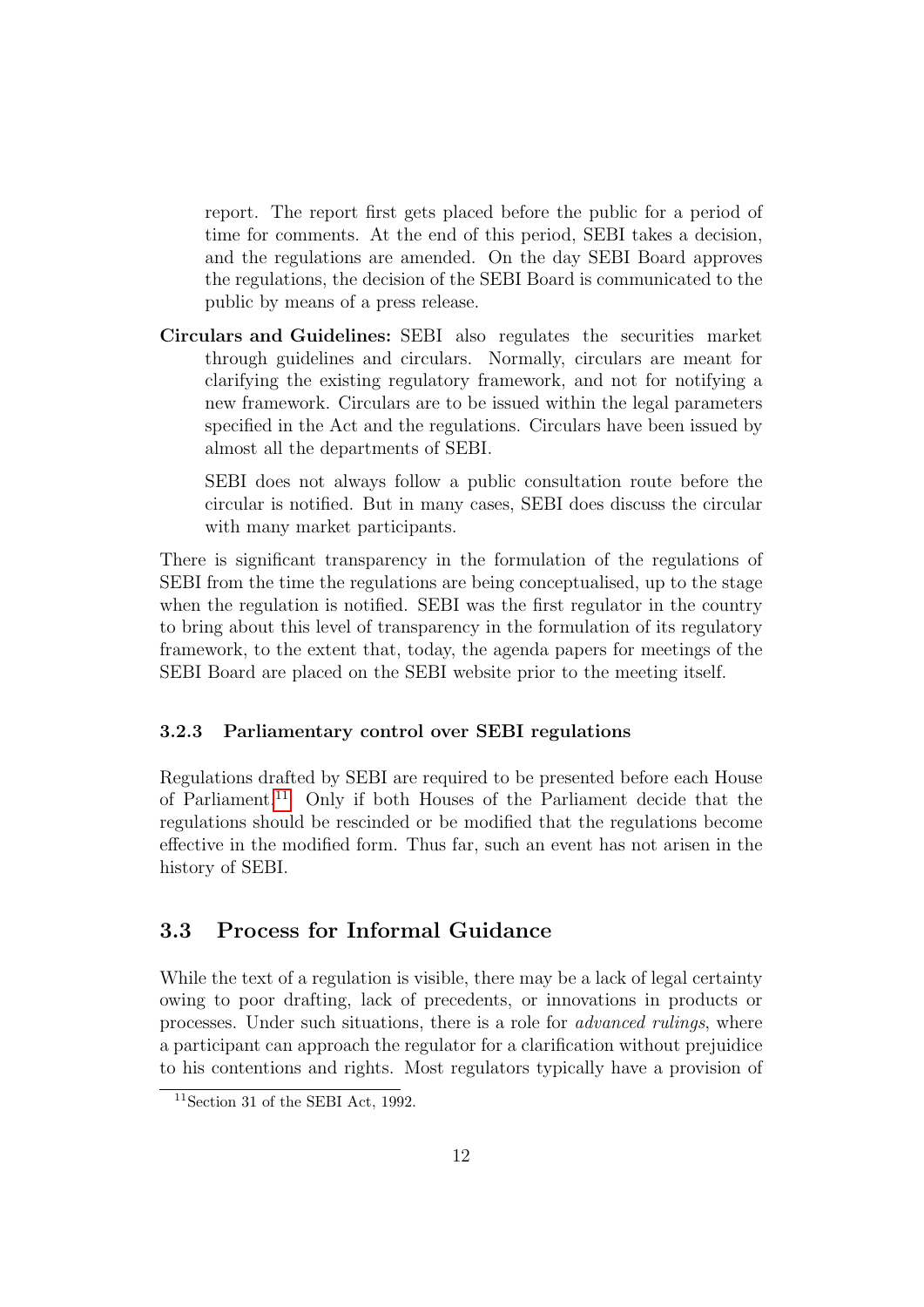report. The report first gets placed before the public for a period of time for comments. At the end of this period, SEBI takes a decision, and the regulations are amended. On the day SEBI Board approves the regulations, the decision of the SEBI Board is communicated to the public by means of a press release.

Circulars and Guidelines: SEBI also regulates the securities market through guidelines and circulars. Normally, circulars are meant for clarifying the existing regulatory framework, and not for notifying a new framework. Circulars are to be issued within the legal parameters specified in the Act and the regulations. Circulars have been issued by almost all the departments of SEBI.

SEBI does not always follow a public consultation route before the circular is notified. But in many cases, SEBI does discuss the circular with many market participants.

There is significant transparency in the formulation of the regulations of SEBI from the time the regulations are being conceptualised, up to the stage when the regulation is notified. SEBI was the first regulator in the country to bring about this level of transparency in the formulation of its regulatory framework, to the extent that, today, the agenda papers for meetings of the SEBI Board are placed on the SEBI website prior to the meeting itself.

### <span id="page-13-0"></span>3.2.3 Parliamentary control over SEBI regulations

Regulations drafted by SEBI are required to be presented before each House of Parliament.[11](#page-13-2) Only if both Houses of the Parliament decide that the regulations should be rescinded or be modified that the regulations become effective in the modified form. Thus far, such an event has not arisen in the history of SEBI.

### <span id="page-13-1"></span>3.3 Process for Informal Guidance

While the text of a regulation is visible, there may be a lack of legal certainty owing to poor drafting, lack of precedents, or innovations in products or processes. Under such situations, there is a role for advanced rulings, where a participant can approach the regulator for a clarification without prejuidice to his contentions and rights. Most regulators typically have a provision of

<span id="page-13-2"></span> $11$ Section 31 of the SEBI Act, 1992.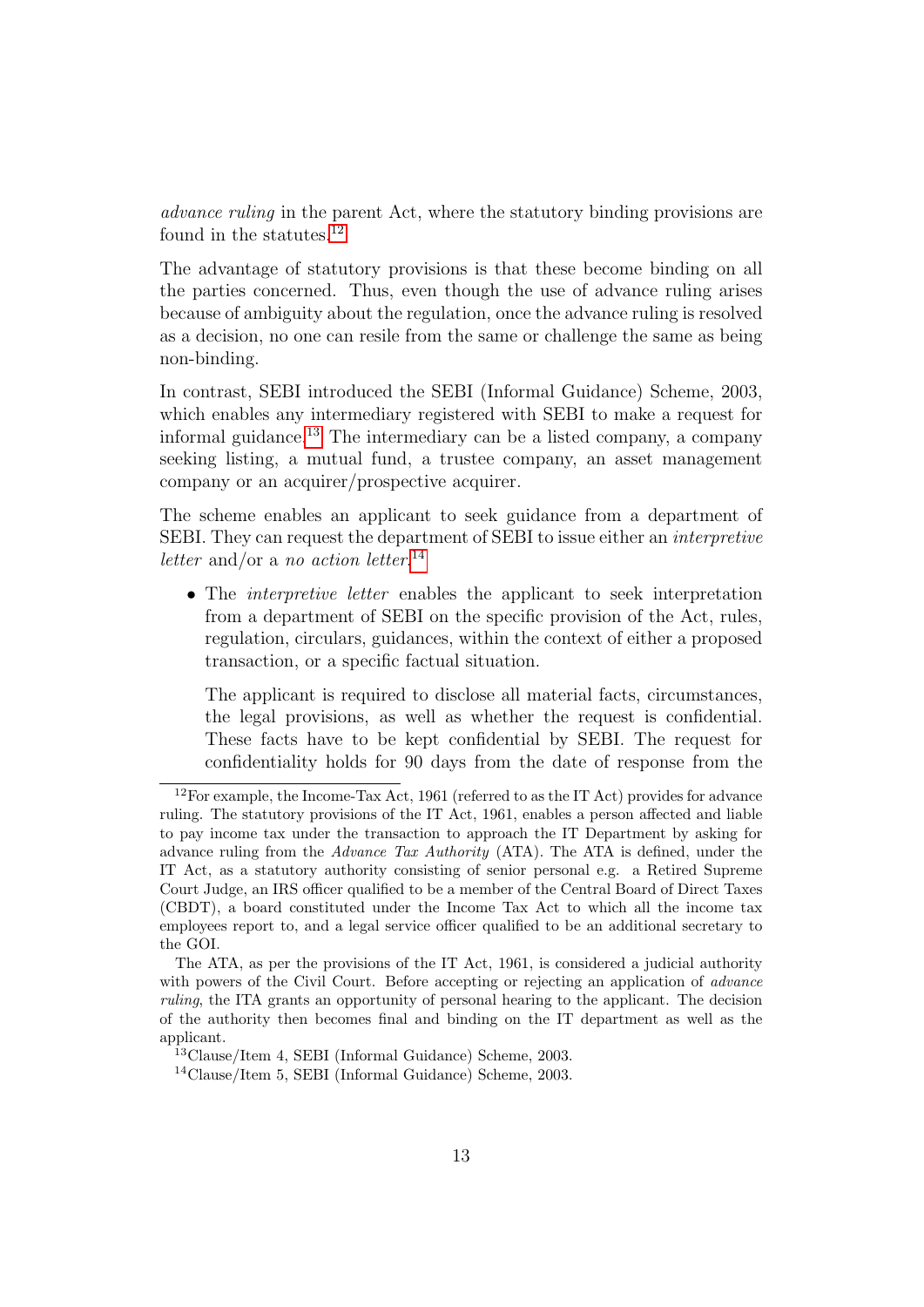advance ruling in the parent Act, where the statutory binding provisions are found in the statutes.<sup>[12](#page-14-0)</sup>

The advantage of statutory provisions is that these become binding on all the parties concerned. Thus, even though the use of advance ruling arises because of ambiguity about the regulation, once the advance ruling is resolved as a decision, no one can resile from the same or challenge the same as being non-binding.

In contrast, SEBI introduced the SEBI (Informal Guidance) Scheme, 2003, which enables any intermediary registered with SEBI to make a request for informal guidance.<sup>[13](#page-14-1)</sup> The intermediary can be a listed company, a company seeking listing, a mutual fund, a trustee company, an asset management company or an acquirer/prospective acquirer.

The scheme enables an applicant to seek guidance from a department of SEBI. They can request the department of SEBI to issue either an interpretive letter and/or a no action letter.<sup>[14](#page-14-2)</sup>

• The *interpretive letter* enables the applicant to seek interpretation from a department of SEBI on the specific provision of the Act, rules, regulation, circulars, guidances, within the context of either a proposed transaction, or a specific factual situation.

The applicant is required to disclose all material facts, circumstances, the legal provisions, as well as whether the request is confidential. These facts have to be kept confidential by SEBI. The request for confidentiality holds for 90 days from the date of response from the

<span id="page-14-0"></span> $12$ For example, the Income-Tax Act, 1961 (referred to as the IT Act) provides for advance ruling. The statutory provisions of the IT Act, 1961, enables a person affected and liable to pay income tax under the transaction to approach the IT Department by asking for advance ruling from the Advance Tax Authority (ATA). The ATA is defined, under the IT Act, as a statutory authority consisting of senior personal e.g. a Retired Supreme Court Judge, an IRS officer qualified to be a member of the Central Board of Direct Taxes (CBDT), a board constituted under the Income Tax Act to which all the income tax employees report to, and a legal service officer qualified to be an additional secretary to the GOI.

The ATA, as per the provisions of the IT Act, 1961, is considered a judicial authority with powers of the Civil Court. Before accepting or rejecting an application of *advance* ruling, the ITA grants an opportunity of personal hearing to the applicant. The decision of the authority then becomes final and binding on the IT department as well as the applicant.

<span id="page-14-1"></span><sup>13</sup>Clause/Item 4, SEBI (Informal Guidance) Scheme, 2003.

<span id="page-14-2"></span><sup>14</sup>Clause/Item 5, SEBI (Informal Guidance) Scheme, 2003.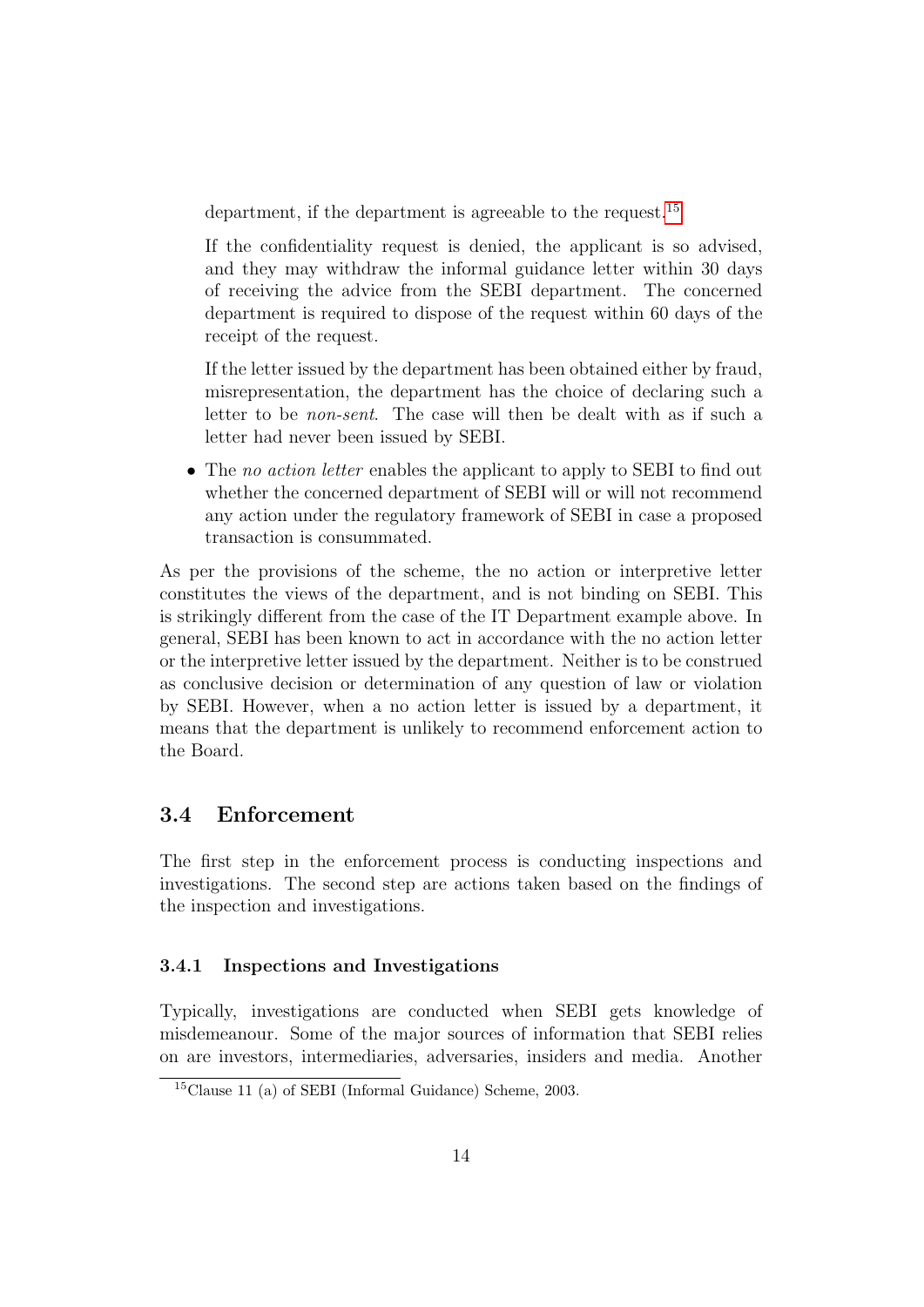department, if the department is agreeable to the request.[15](#page-15-2)

If the confidentiality request is denied, the applicant is so advised, and they may withdraw the informal guidance letter within 30 days of receiving the advice from the SEBI department. The concerned department is required to dispose of the request within 60 days of the receipt of the request.

If the letter issued by the department has been obtained either by fraud, misrepresentation, the department has the choice of declaring such a letter to be non-sent. The case will then be dealt with as if such a letter had never been issued by SEBI.

• The no action letter enables the applicant to apply to SEBI to find out whether the concerned department of SEBI will or will not recommend any action under the regulatory framework of SEBI in case a proposed transaction is consummated.

As per the provisions of the scheme, the no action or interpretive letter constitutes the views of the department, and is not binding on SEBI. This is strikingly different from the case of the IT Department example above. In general, SEBI has been known to act in accordance with the no action letter or the interpretive letter issued by the department. Neither is to be construed as conclusive decision or determination of any question of law or violation by SEBI. However, when a no action letter is issued by a department, it means that the department is unlikely to recommend enforcement action to the Board.

### <span id="page-15-0"></span>3.4 Enforcement

The first step in the enforcement process is conducting inspections and investigations. The second step are actions taken based on the findings of the inspection and investigations.

### <span id="page-15-1"></span>3.4.1 Inspections and Investigations

Typically, investigations are conducted when SEBI gets knowledge of misdemeanour. Some of the major sources of information that SEBI relies on are investors, intermediaries, adversaries, insiders and media. Another

<span id="page-15-2"></span><sup>15</sup>Clause 11 (a) of SEBI (Informal Guidance) Scheme, 2003.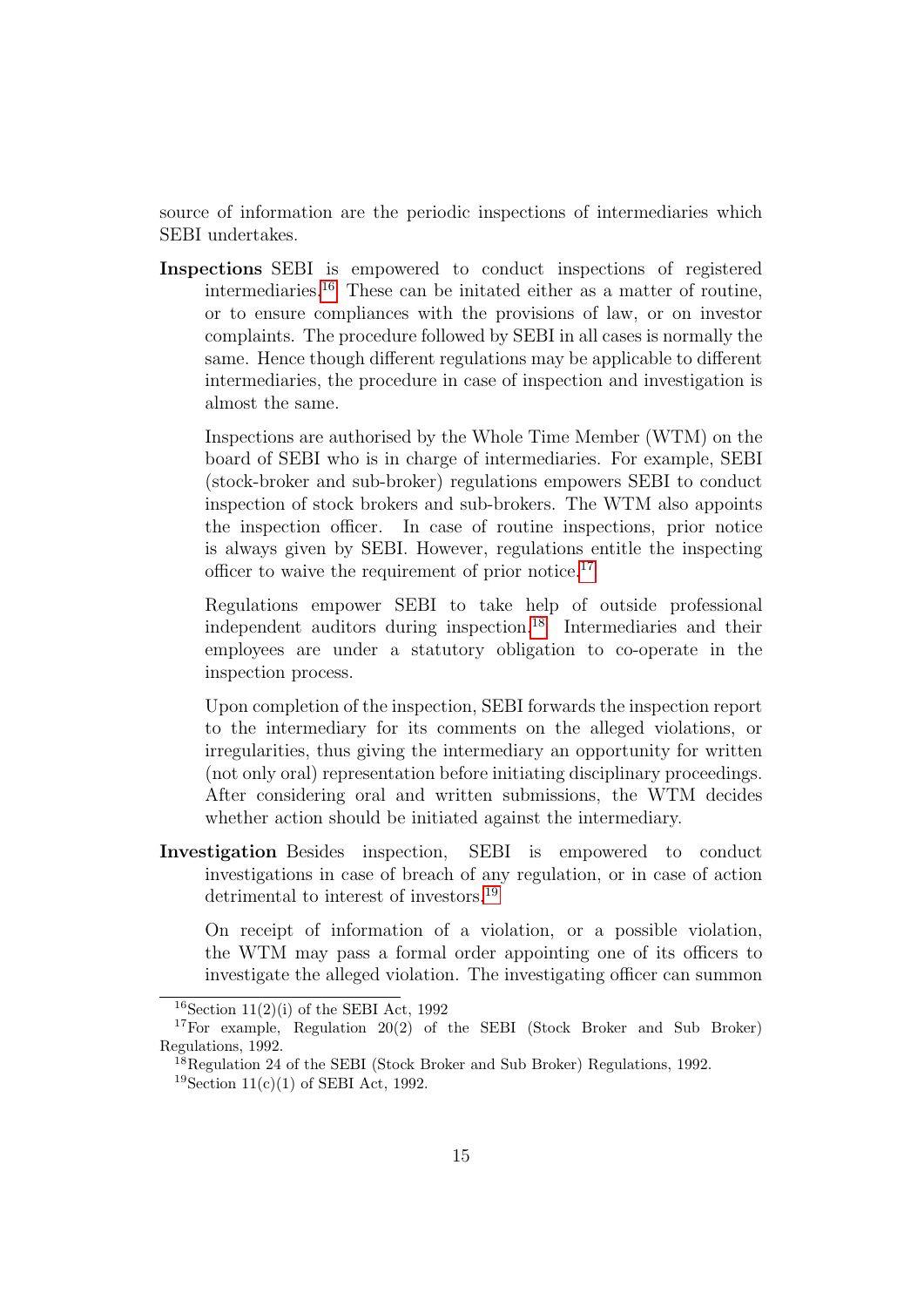source of information are the periodic inspections of intermediaries which SEBI undertakes.

Inspections SEBI is empowered to conduct inspections of registered intermediaries.[16](#page-16-0) These can be initated either as a matter of routine, or to ensure compliances with the provisions of law, or on investor complaints. The procedure followed by SEBI in all cases is normally the same. Hence though different regulations may be applicable to different intermediaries, the procedure in case of inspection and investigation is almost the same.

Inspections are authorised by the Whole Time Member (WTM) on the board of SEBI who is in charge of intermediaries. For example, SEBI (stock-broker and sub-broker) regulations empowers SEBI to conduct inspection of stock brokers and sub-brokers. The WTM also appoints the inspection officer. In case of routine inspections, prior notice is always given by SEBI. However, regulations entitle the inspecting officer to waive the requirement of prior notice.[17](#page-16-1)

Regulations empower SEBI to take help of outside professional independent auditors during inspection.[18](#page-16-2) Intermediaries and their employees are under a statutory obligation to co-operate in the inspection process.

Upon completion of the inspection, SEBI forwards the inspection report to the intermediary for its comments on the alleged violations, or irregularities, thus giving the intermediary an opportunity for written (not only oral) representation before initiating disciplinary proceedings. After considering oral and written submissions, the WTM decides whether action should be initiated against the intermediary.

Investigation Besides inspection, SEBI is empowered to conduct investigations in case of breach of any regulation, or in case of action detrimental to interest of investors.[19](#page-16-3)

On receipt of information of a violation, or a possible violation, the WTM may pass a formal order appointing one of its officers to investigate the alleged violation. The investigating officer can summon

<span id="page-16-1"></span><span id="page-16-0"></span><sup>&</sup>lt;sup>16</sup>Section 11(2)(i) of the SEBI Act, 1992

<sup>17</sup>For example, Regulation 20(2) of the SEBI (Stock Broker and Sub Broker) Regulations, 1992.

<span id="page-16-2"></span> $^{18}$ Regulation 24 of the SEBI (Stock Broker and Sub Broker) Regulations, 1992.

<span id="page-16-3"></span><sup>&</sup>lt;sup>19</sup>Section 11(c)(1) of SEBI Act, 1992.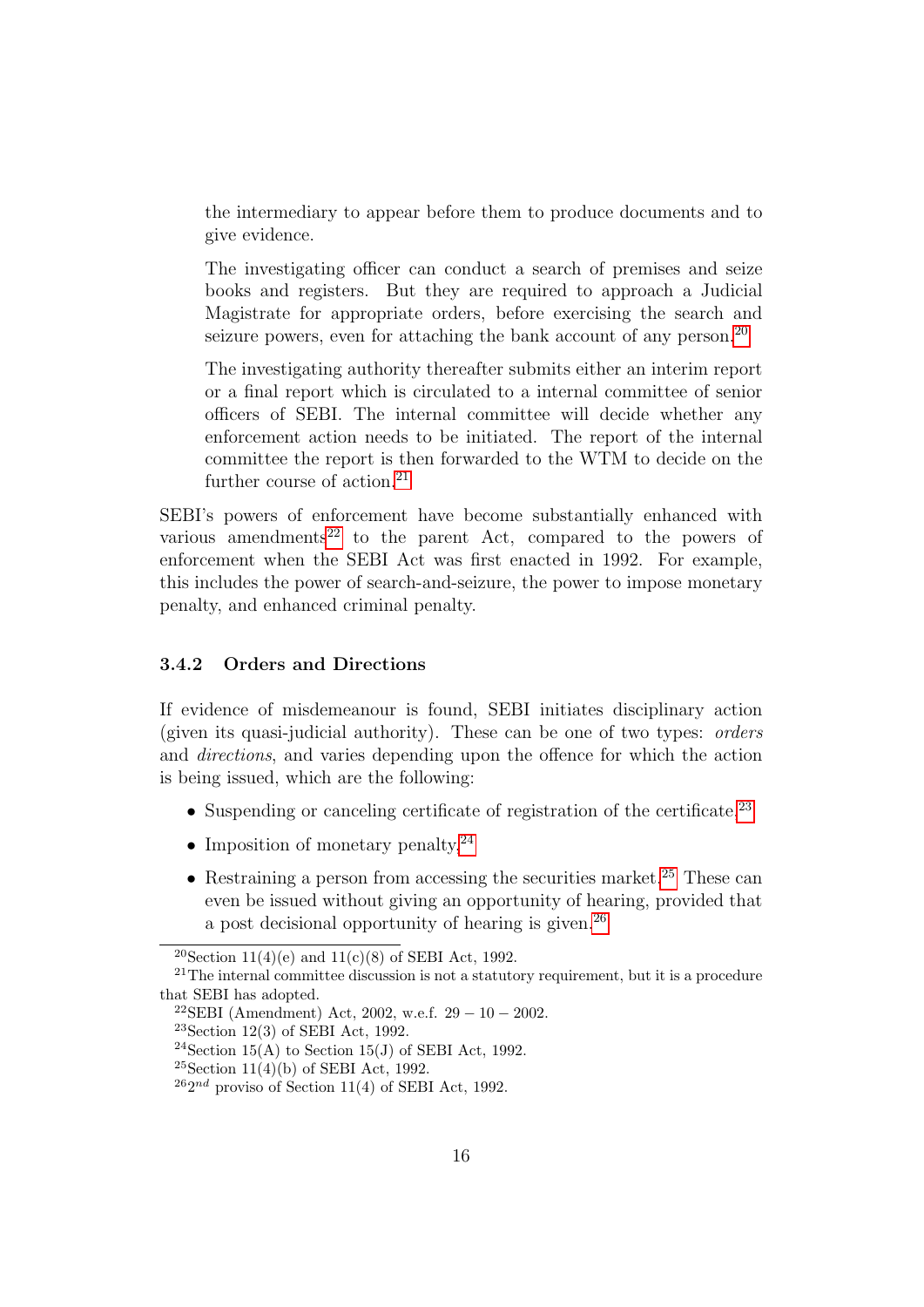the intermediary to appear before them to produce documents and to give evidence.

The investigating officer can conduct a search of premises and seize books and registers. But they are required to approach a Judicial Magistrate for appropriate orders, before exercising the search and seizure powers, even for attaching the bank account of any person.<sup>[20](#page-17-1)</sup>

The investigating authority thereafter submits either an interim report or a final report which is circulated to a internal committee of senior officers of SEBI. The internal committee will decide whether any enforcement action needs to be initiated. The report of the internal committee the report is then forwarded to the WTM to decide on the further course of action. $^{21}$  $^{21}$  $^{21}$ 

SEBI's powers of enforcement have become substantially enhanced with various amendments<sup>[22](#page-17-3)</sup> to the parent Act, compared to the powers of enforcement when the SEBI Act was first enacted in 1992. For example, this includes the power of search-and-seizure, the power to impose monetary penalty, and enhanced criminal penalty.

### <span id="page-17-0"></span>3.4.2 Orders and Directions

If evidence of misdemeanour is found, SEBI initiates disciplinary action (given its quasi-judicial authority). These can be one of two types: orders and directions, and varies depending upon the offence for which the action is being issued, which are the following:

- Suspending or canceling certificate of registration of the certificate.<sup>[23](#page-17-4)</sup>
- Imposition of monetary penalty,  $2^4$
- Restraining a person from accessing the securities market.<sup>[25](#page-17-6)</sup> These can even be issued without giving an opportunity of hearing, provided that a post decisional opportunity of hearing is given.<sup>[26](#page-17-7)</sup>

<span id="page-17-4"></span> $23$ Section 12(3) of SEBI Act, 1992.

<span id="page-17-2"></span><span id="page-17-1"></span><sup>&</sup>lt;sup>20</sup>Section 11(4)(e) and 11(c)(8) of SEBI Act, 1992.

 $21$ The internal committee discussion is not a statutory requirement, but it is a procedure that SEBI has adopted.

<span id="page-17-3"></span><sup>&</sup>lt;sup>22</sup>SEBI (Amendment) Act, 2002, w.e.f.  $29 - 10 - 2002$ .

<span id="page-17-5"></span><sup>&</sup>lt;sup>24</sup>Section 15(A) to Section 15(J) of SEBI Act, 1992.

<span id="page-17-6"></span><sup>&</sup>lt;sup>25</sup>Section 11(4)(b) of SEBI Act, 1992.

<span id="page-17-7"></span> $^{26}2^{nd}$  proviso of Section 11(4) of SEBI Act, 1992.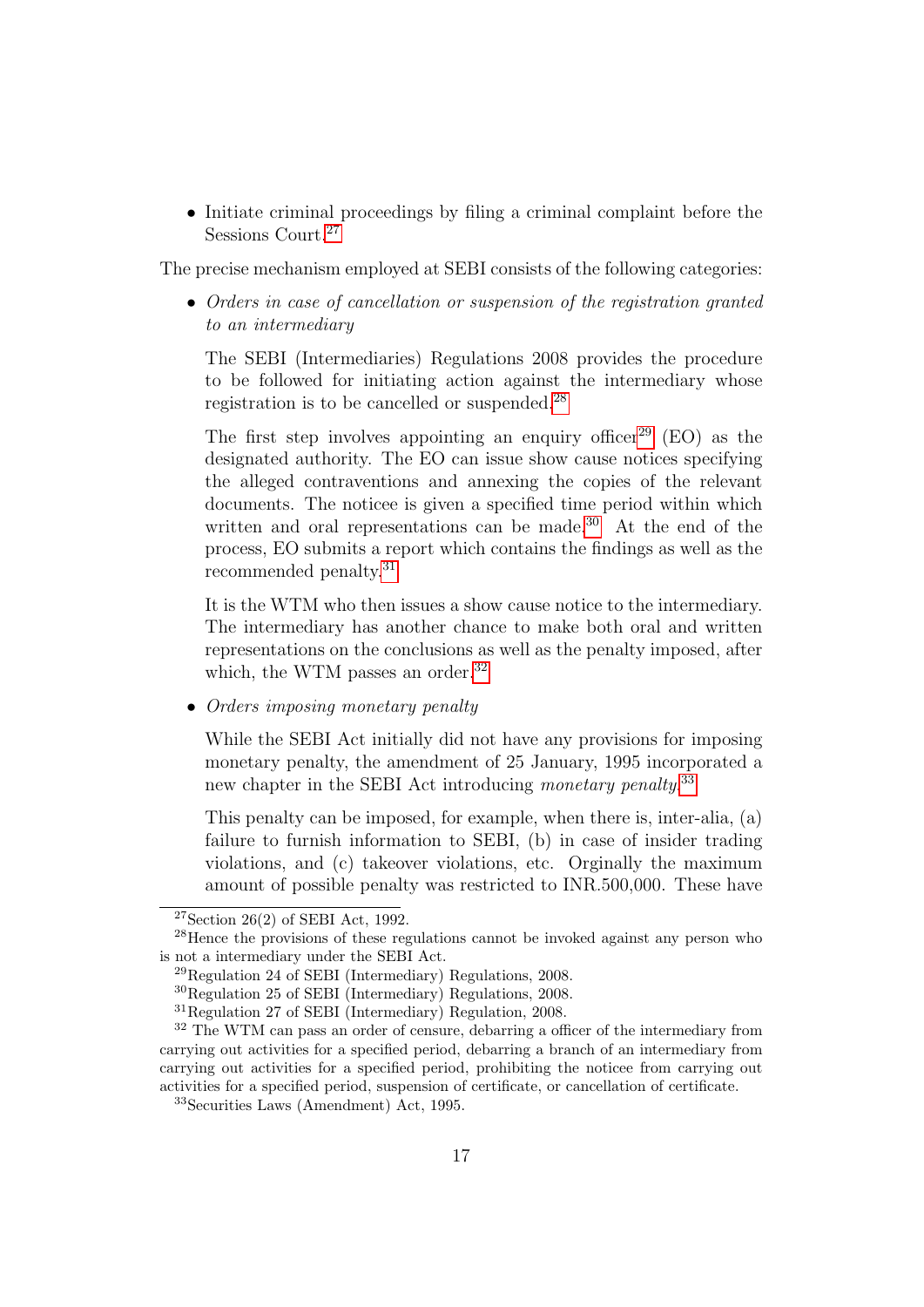• Initiate criminal proceedings by filing a criminal complaint before the Sessions Court.<sup>[27](#page-18-0)</sup>

The precise mechanism employed at SEBI consists of the following categories:

• Orders in case of cancellation or suspension of the registration granted to an intermediary

The SEBI (Intermediaries) Regulations 2008 provides the procedure to be followed for initiating action against the intermediary whose registration is to be cancelled or suspended.[28](#page-18-1)

The first step involves appointing an enquiry officer<sup>[29](#page-18-2)</sup> (EO) as the designated authority. The EO can issue show cause notices specifying the alleged contraventions and annexing the copies of the relevant documents. The noticee is given a specified time period within which written and oral representations can be made.<sup>[30](#page-18-3)</sup> At the end of the process, EO submits a report which contains the findings as well as the recommended penalty.[31](#page-18-4)

It is the WTM who then issues a show cause notice to the intermediary. The intermediary has another chance to make both oral and written representations on the conclusions as well as the penalty imposed, after which, the WTM passes an order.<sup>[32](#page-18-5)</sup>

• Orders imposing monetary penalty

While the SEBI Act initially did not have any provisions for imposing monetary penalty, the amendment of 25 January, 1995 incorporated a new chapter in the SEBI Act introducing monetary penalty.<sup>[33](#page-18-6)</sup>

This penalty can be imposed, for example, when there is, inter-alia, (a) failure to furnish information to SEBI, (b) in case of insider trading violations, and (c) takeover violations, etc. Orginally the maximum amount of possible penalty was restricted to INR.500,000. These have

<span id="page-18-1"></span><span id="page-18-0"></span> $27$ Section 26(2) of SEBI Act, 1992.

<sup>28</sup>Hence the provisions of these regulations cannot be invoked against any person who is not a intermediary under the SEBI Act.

<span id="page-18-2"></span><sup>29</sup>Regulation 24 of SEBI (Intermediary) Regulations, 2008.

<span id="page-18-3"></span><sup>30</sup>Regulation 25 of SEBI (Intermediary) Regulations, 2008.

<span id="page-18-5"></span><span id="page-18-4"></span><sup>31</sup>Regulation 27 of SEBI (Intermediary) Regulation, 2008.

<sup>&</sup>lt;sup>32</sup> The WTM can pass an order of censure, debarring a officer of the intermediary from carrying out activities for a specified period, debarring a branch of an intermediary from carrying out activities for a specified period, prohibiting the noticee from carrying out activities for a specified period, suspension of certificate, or cancellation of certificate.

<span id="page-18-6"></span><sup>33</sup>Securities Laws (Amendment) Act, 1995.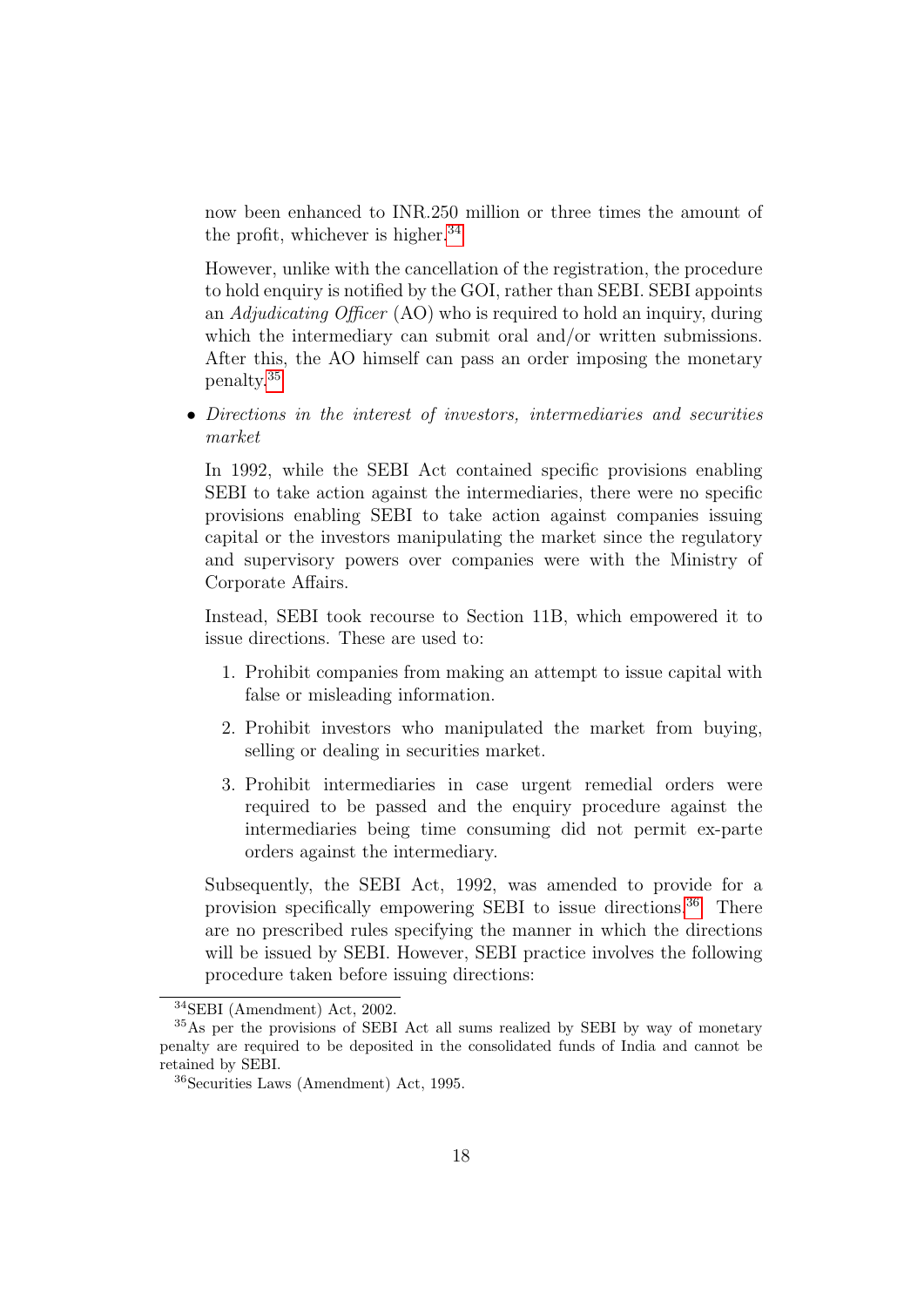now been enhanced to INR.250 million or three times the amount of the profit, whichever is higher. $34$ 

However, unlike with the cancellation of the registration, the procedure to hold enquiry is notified by the GOI, rather than SEBI. SEBI appoints an Adjudicating Officer (AO) who is required to hold an inquiry, during which the intermediary can submit oral and/or written submissions. After this, the AO himself can pass an order imposing the monetary penalty.[35](#page-19-1)

• Directions in the interest of investors, intermediaries and securities market

In 1992, while the SEBI Act contained specific provisions enabling SEBI to take action against the intermediaries, there were no specific provisions enabling SEBI to take action against companies issuing capital or the investors manipulating the market since the regulatory and supervisory powers over companies were with the Ministry of Corporate Affairs.

Instead, SEBI took recourse to Section 11B, which empowered it to issue directions. These are used to:

- 1. Prohibit companies from making an attempt to issue capital with false or misleading information.
- 2. Prohibit investors who manipulated the market from buying, selling or dealing in securities market.
- 3. Prohibit intermediaries in case urgent remedial orders were required to be passed and the enquiry procedure against the intermediaries being time consuming did not permit ex-parte orders against the intermediary.

Subsequently, the SEBI Act, 1992, was amended to provide for a provision specifically empowering SEBI to issue directions.[36](#page-19-2) There are no prescribed rules specifying the manner in which the directions will be issued by SEBI. However, SEBI practice involves the following procedure taken before issuing directions:

<span id="page-19-1"></span><span id="page-19-0"></span><sup>34</sup>SEBI (Amendment) Act, 2002.

<sup>35</sup>As per the provisions of SEBI Act all sums realized by SEBI by way of monetary penalty are required to be deposited in the consolidated funds of India and cannot be retained by SEBI.

<span id="page-19-2"></span><sup>36</sup>Securities Laws (Amendment) Act, 1995.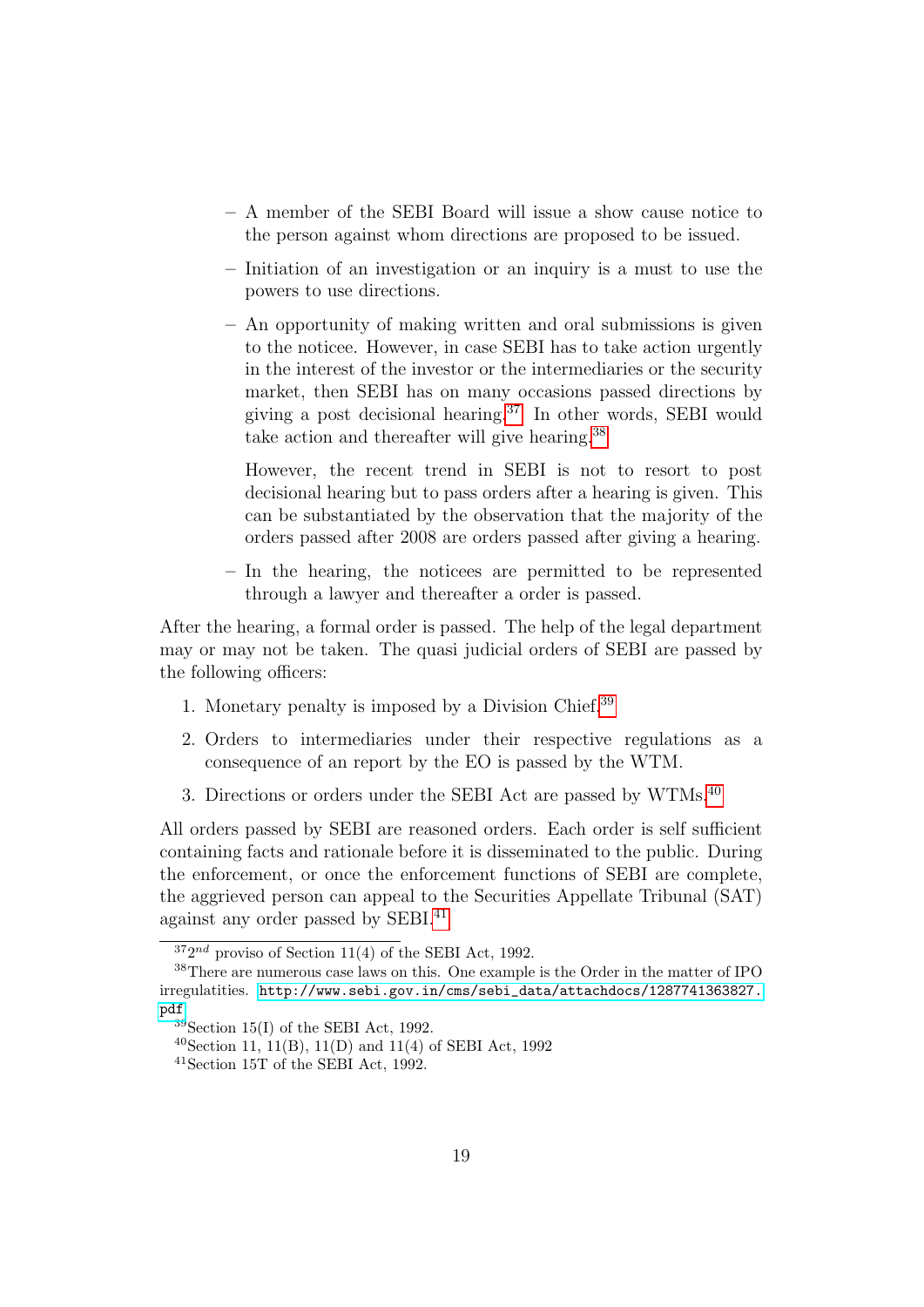- A member of the SEBI Board will issue a show cause notice to the person against whom directions are proposed to be issued.
- Initiation of an investigation or an inquiry is a must to use the powers to use directions.
- An opportunity of making written and oral submissions is given to the noticee. However, in case SEBI has to take action urgently in the interest of the investor or the intermediaries or the security market, then SEBI has on many occasions passed directions by giving a post decisional hearing.[37](#page-20-0) In other words, SEBI would take action and thereafter will give hearing.[38](#page-20-1)

However, the recent trend in SEBI is not to resort to post decisional hearing but to pass orders after a hearing is given. This can be substantiated by the observation that the majority of the orders passed after 2008 are orders passed after giving a hearing.

– In the hearing, the noticees are permitted to be represented through a lawyer and thereafter a order is passed.

After the hearing, a formal order is passed. The help of the legal department may or may not be taken. The quasi judicial orders of SEBI are passed by the following officers:

- 1. Monetary penalty is imposed by a Division Chief.[39](#page-20-2)
- 2. Orders to intermediaries under their respective regulations as a consequence of an report by the EO is passed by the WTM.
- 3. Directions or orders under the SEBI Act are passed by WTMs.[40](#page-20-3)

All orders passed by SEBI are reasoned orders. Each order is self sufficient containing facts and rationale before it is disseminated to the public. During the enforcement, or once the enforcement functions of SEBI are complete, the aggrieved person can appeal to the Securities Appellate Tribunal (SAT) against any order passed by SEBI.[41](#page-20-4)

<span id="page-20-1"></span><span id="page-20-0"></span> $372^{nd}$  proviso of Section 11(4) of the SEBI Act, 1992.

<sup>38</sup>There are numerous case laws on this. One example is the Order in the matter of IPO irregulatities. [http://www.sebi.gov.in/cms/sebi\\_data/attachdocs/1287741363827.](http://www.sebi.gov.in/cms/sebi_data/attachdocs/1287741363827.pdf) [pdf](http://www.sebi.gov.in/cms/sebi_data/attachdocs/1287741363827.pdf)

<span id="page-20-2"></span> $39$ Section 15(I) of the SEBI Act, 1992.

<span id="page-20-3"></span><sup>40</sup>Section 11, 11(B), 11(D) and 11(4) of SEBI Act, 1992

<span id="page-20-4"></span><sup>41</sup>Section 15T of the SEBI Act, 1992.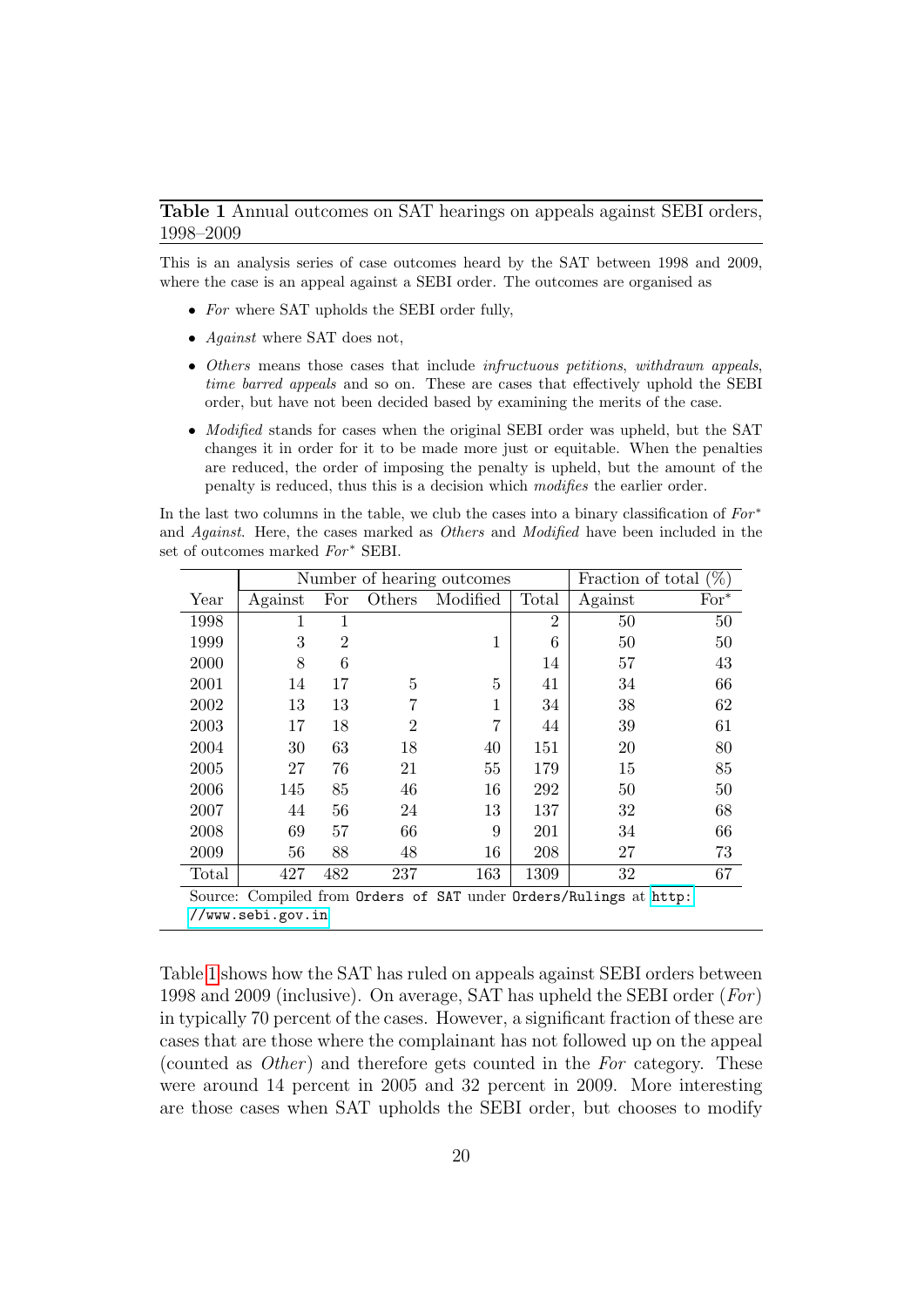### <span id="page-21-0"></span>Table 1 Annual outcomes on SAT hearings on appeals against SEBI orders, 1998–2009

This is an analysis series of case outcomes heard by the SAT between 1998 and 2009, where the case is an appeal against a SEBI order. The outcomes are organised as

- For where SAT upholds the SEBI order fully,
- Against where SAT does not,
- Others means those cases that include infructuous petitions, withdrawn appeals, time barred appeals and so on. These are cases that effectively uphold the SEBI order, but have not been decided based by examining the merits of the case.
- *Modified* stands for cases when the original SEBI order was upheld, but the SAT changes it in order for it to be made more just or equitable. When the penalties are reduced, the order of imposing the penalty is upheld, but the amount of the penalty is reduced, thus this is a decision which modifies the earlier order.

In the last two columns in the table, we club the cases into a binary classification of  $For*$ and Against. Here, the cases marked as Others and Modified have been included in the set of outcomes marked  $For^*$  SEBI.

|                                                                                           | Number of hearing outcomes |                |                |              |                | $(\%)$<br>Fraction of total |        |  |  |  |
|-------------------------------------------------------------------------------------------|----------------------------|----------------|----------------|--------------|----------------|-----------------------------|--------|--|--|--|
| Year                                                                                      | Against                    | For            | Others         | Modified     | Total          | Against                     | $For*$ |  |  |  |
| 1998                                                                                      | 1                          | 1              |                |              | $\overline{2}$ | 50                          | 50     |  |  |  |
| 1999                                                                                      | 3                          | $\overline{2}$ |                | $\mathbf{1}$ | 6              | 50                          | 50     |  |  |  |
| 2000                                                                                      | 8                          | 6              |                |              | 14             | 57                          | 43     |  |  |  |
| 2001                                                                                      | 14                         | 17             | 5              | 5            | 41             | 34                          | 66     |  |  |  |
| 2002                                                                                      | 13                         | 13             |                | 1            | 34             | 38                          | 62     |  |  |  |
| 2003                                                                                      | 17                         | 18             | $\overline{2}$ | 7            | 44             | 39                          | 61     |  |  |  |
| 2004                                                                                      | 30                         | 63             | 18             | 40           | 151            | 20                          | 80     |  |  |  |
| 2005                                                                                      | 27                         | 76             | 21             | 55           | 179            | 15                          | 85     |  |  |  |
| 2006                                                                                      | 145                        | 85             | 46             | 16           | 292            | 50                          | 50     |  |  |  |
| 2007                                                                                      | 44                         | 56             | 24             | 13           | 137            | 32                          | 68     |  |  |  |
| 2008                                                                                      | 69                         | 57             | 66             | 9            | 201            | 34                          | 66     |  |  |  |
| 2009                                                                                      | 56                         | 88             | 48             | 16           | 208            | 27                          | 73     |  |  |  |
| Total                                                                                     | 427                        | 482            | 237            | 163          | 1309           | 32                          | 67     |  |  |  |
| Compiled from Orders of SAT under Orders/Rulings at http:<br>Source:<br>//www.sebi.gov.in |                            |                |                |              |                |                             |        |  |  |  |

Table [1](#page-21-0) shows how the SAT has ruled on appeals against SEBI orders between 1998 and 2009 (inclusive). On average, SAT has upheld the SEBI order ( $For$ ) in typically 70 percent of the cases. However, a significant fraction of these are cases that are those where the complainant has not followed up on the appeal (counted as *Other*) and therefore gets counted in the For category. These were around 14 percent in 2005 and 32 percent in 2009. More interesting are those cases when SAT upholds the SEBI order, but chooses to modify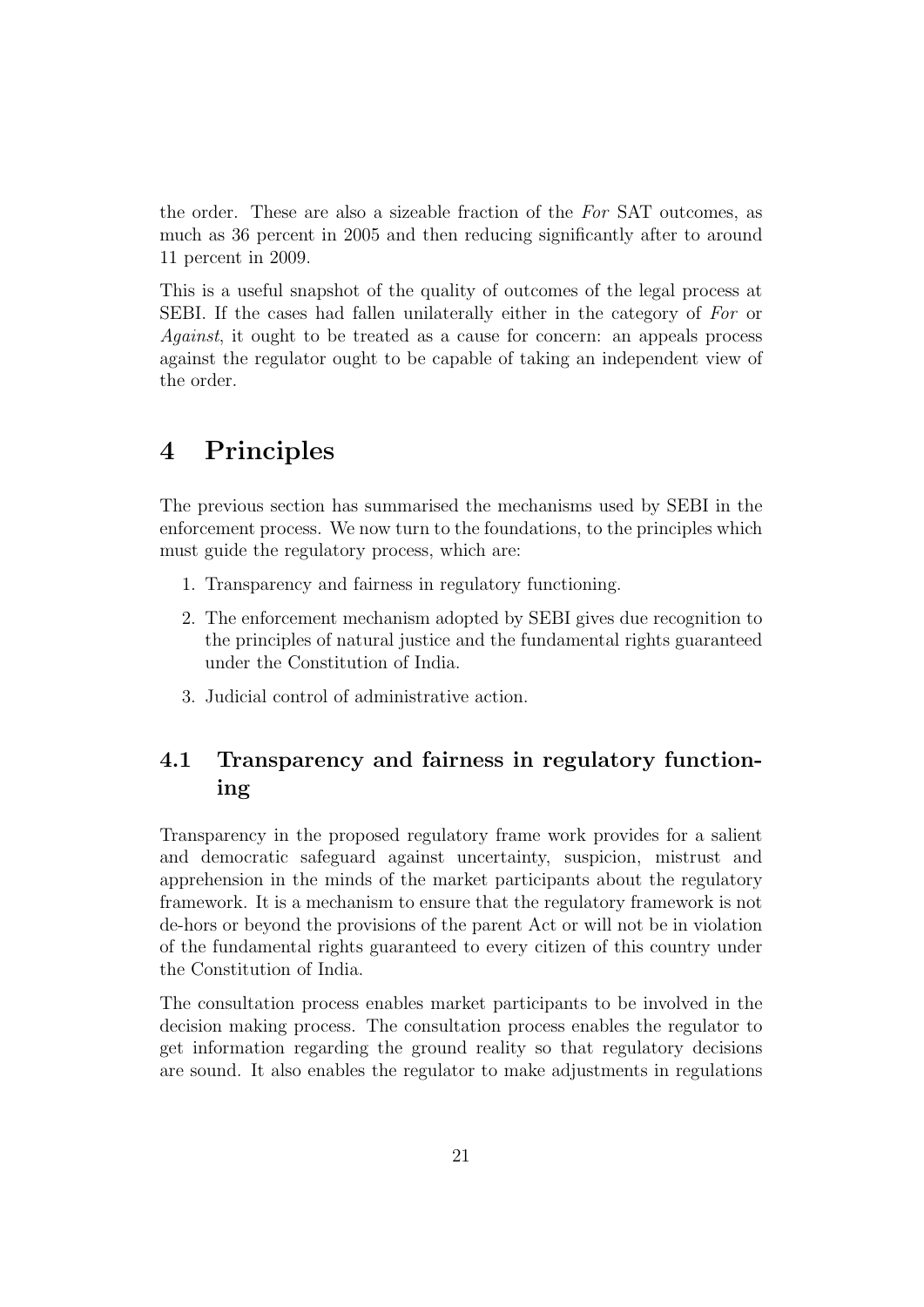the order. These are also a sizeable fraction of the For SAT outcomes, as much as 36 percent in 2005 and then reducing significantly after to around 11 percent in 2009.

This is a useful snapshot of the quality of outcomes of the legal process at SEBI. If the cases had fallen unilaterally either in the category of For or Against, it ought to be treated as a cause for concern: an appeals process against the regulator ought to be capable of taking an independent view of the order.

### <span id="page-22-0"></span>4 Principles

The previous section has summarised the mechanisms used by SEBI in the enforcement process. We now turn to the foundations, to the principles which must guide the regulatory process, which are:

- 1. Transparency and fairness in regulatory functioning.
- 2. The enforcement mechanism adopted by SEBI gives due recognition to the principles of natural justice and the fundamental rights guaranteed under the Constitution of India.
- 3. Judicial control of administrative action.

### <span id="page-22-1"></span>4.1 Transparency and fairness in regulatory functioning

Transparency in the proposed regulatory frame work provides for a salient and democratic safeguard against uncertainty, suspicion, mistrust and apprehension in the minds of the market participants about the regulatory framework. It is a mechanism to ensure that the regulatory framework is not de-hors or beyond the provisions of the parent Act or will not be in violation of the fundamental rights guaranteed to every citizen of this country under the Constitution of India.

The consultation process enables market participants to be involved in the decision making process. The consultation process enables the regulator to get information regarding the ground reality so that regulatory decisions are sound. It also enables the regulator to make adjustments in regulations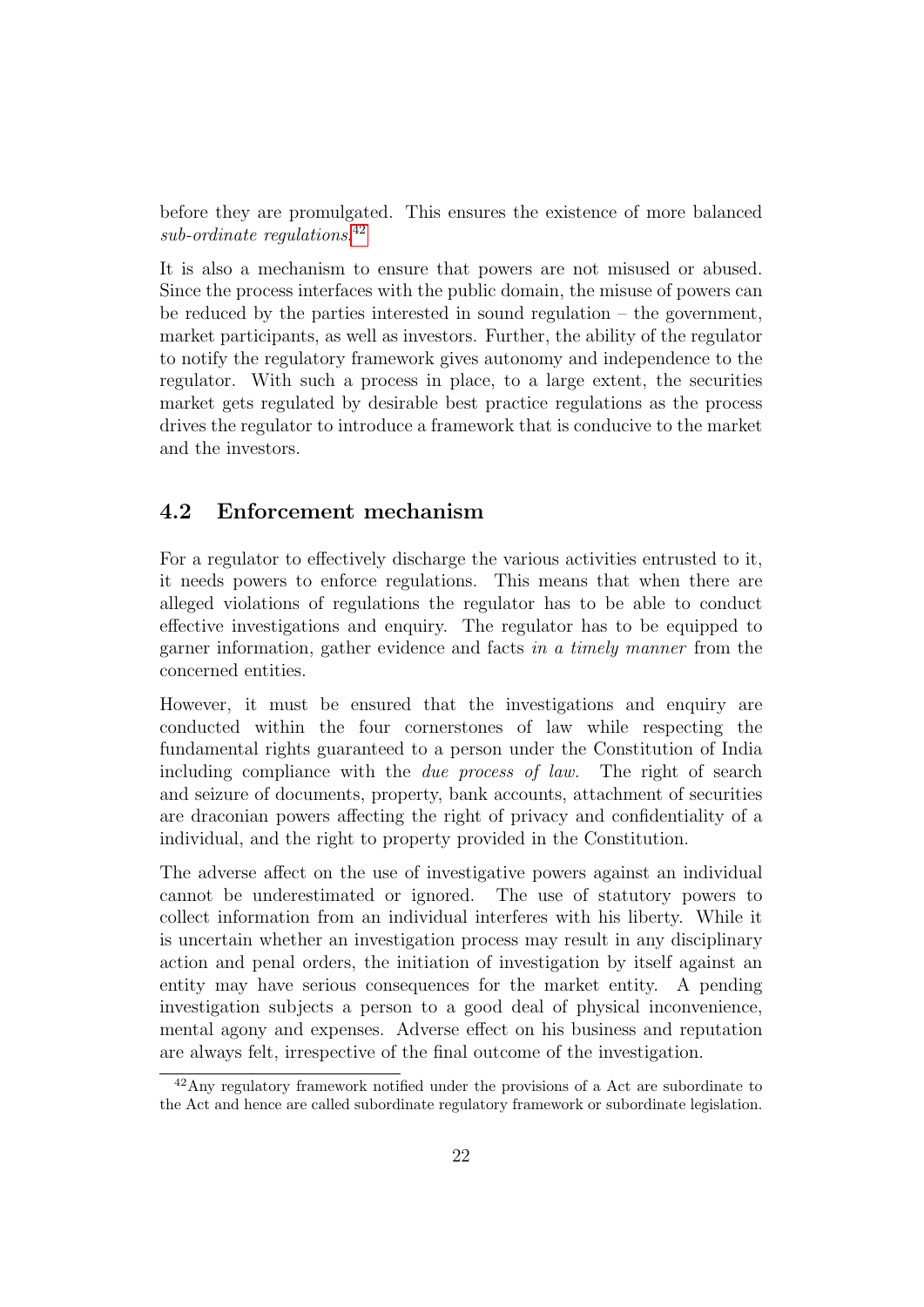before they are promulgated. This ensures the existence of more balanced sub-ordinate regulations.<sup>[42](#page-23-1)</sup>

It is also a mechanism to ensure that powers are not misused or abused. Since the process interfaces with the public domain, the misuse of powers can be reduced by the parties interested in sound regulation – the government, market participants, as well as investors. Further, the ability of the regulator to notify the regulatory framework gives autonomy and independence to the regulator. With such a process in place, to a large extent, the securities market gets regulated by desirable best practice regulations as the process drives the regulator to introduce a framework that is conducive to the market and the investors.

### <span id="page-23-0"></span>4.2 Enforcement mechanism

For a regulator to effectively discharge the various activities entrusted to it, it needs powers to enforce regulations. This means that when there are alleged violations of regulations the regulator has to be able to conduct effective investigations and enquiry. The regulator has to be equipped to garner information, gather evidence and facts in a timely manner from the concerned entities.

However, it must be ensured that the investigations and enquiry are conducted within the four cornerstones of law while respecting the fundamental rights guaranteed to a person under the Constitution of India including compliance with the due process of law. The right of search and seizure of documents, property, bank accounts, attachment of securities are draconian powers affecting the right of privacy and confidentiality of a individual, and the right to property provided in the Constitution.

The adverse affect on the use of investigative powers against an individual cannot be underestimated or ignored. The use of statutory powers to collect information from an individual interferes with his liberty. While it is uncertain whether an investigation process may result in any disciplinary action and penal orders, the initiation of investigation by itself against an entity may have serious consequences for the market entity. A pending investigation subjects a person to a good deal of physical inconvenience, mental agony and expenses. Adverse effect on his business and reputation are always felt, irrespective of the final outcome of the investigation.

<span id="page-23-1"></span><sup>42</sup>Any regulatory framework notified under the provisions of a Act are subordinate to the Act and hence are called subordinate regulatory framework or subordinate legislation.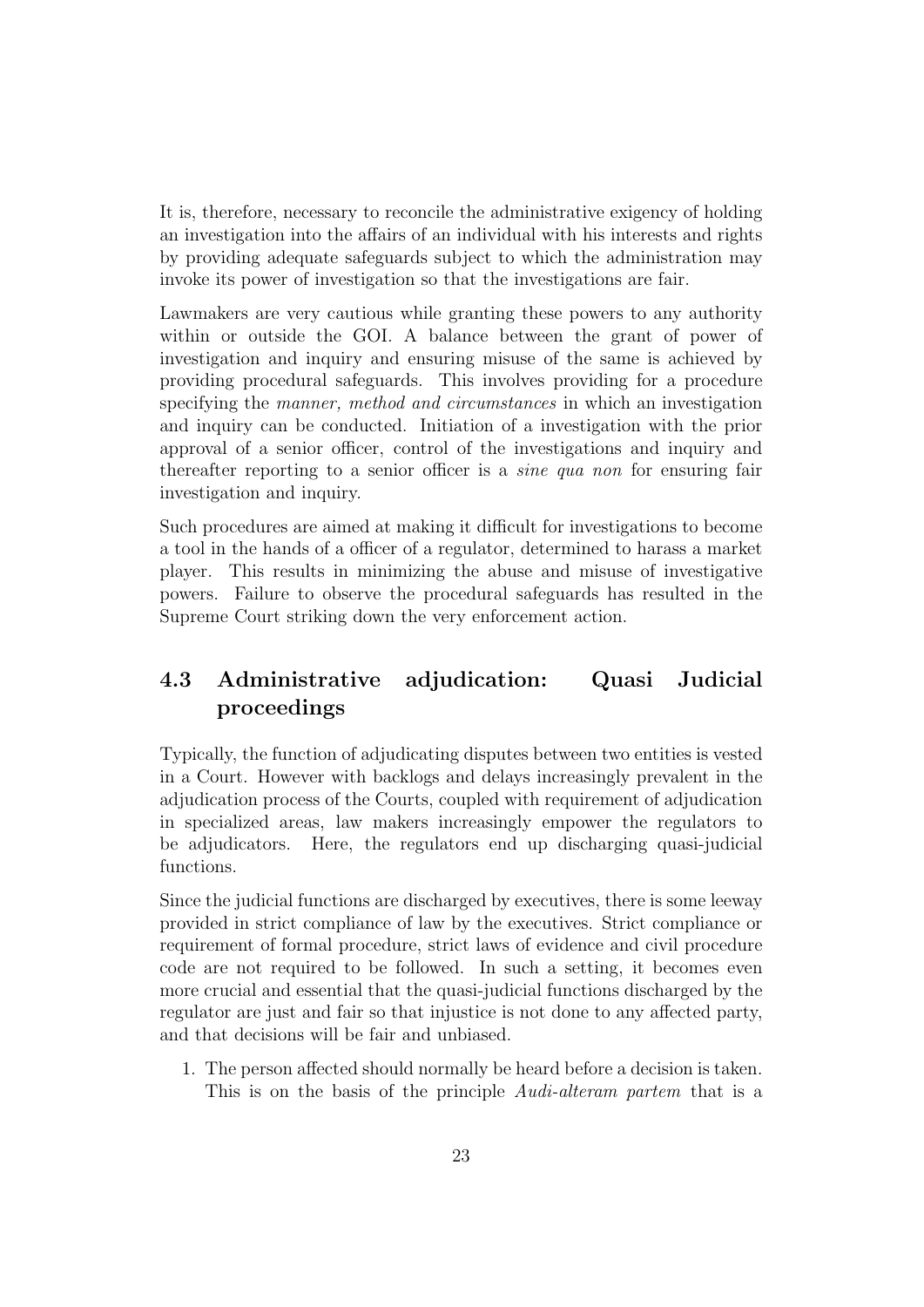It is, therefore, necessary to reconcile the administrative exigency of holding an investigation into the affairs of an individual with his interests and rights by providing adequate safeguards subject to which the administration may invoke its power of investigation so that the investigations are fair.

Lawmakers are very cautious while granting these powers to any authority within or outside the GOI. A balance between the grant of power of investigation and inquiry and ensuring misuse of the same is achieved by providing procedural safeguards. This involves providing for a procedure specifying the *manner*, method and circumstances in which an investigation and inquiry can be conducted. Initiation of a investigation with the prior approval of a senior officer, control of the investigations and inquiry and thereafter reporting to a senior officer is a sine qua non for ensuring fair investigation and inquiry.

Such procedures are aimed at making it difficult for investigations to become a tool in the hands of a officer of a regulator, determined to harass a market player. This results in minimizing the abuse and misuse of investigative powers. Failure to observe the procedural safeguards has resulted in the Supreme Court striking down the very enforcement action.

### <span id="page-24-0"></span>4.3 Administrative adjudication: Quasi Judicial proceedings

Typically, the function of adjudicating disputes between two entities is vested in a Court. However with backlogs and delays increasingly prevalent in the adjudication process of the Courts, coupled with requirement of adjudication in specialized areas, law makers increasingly empower the regulators to be adjudicators. Here, the regulators end up discharging quasi-judicial functions.

Since the judicial functions are discharged by executives, there is some leeway provided in strict compliance of law by the executives. Strict compliance or requirement of formal procedure, strict laws of evidence and civil procedure code are not required to be followed. In such a setting, it becomes even more crucial and essential that the quasi-judicial functions discharged by the regulator are just and fair so that injustice is not done to any affected party, and that decisions will be fair and unbiased.

1. The person affected should normally be heard before a decision is taken. This is on the basis of the principle Audi-alteram partem that is a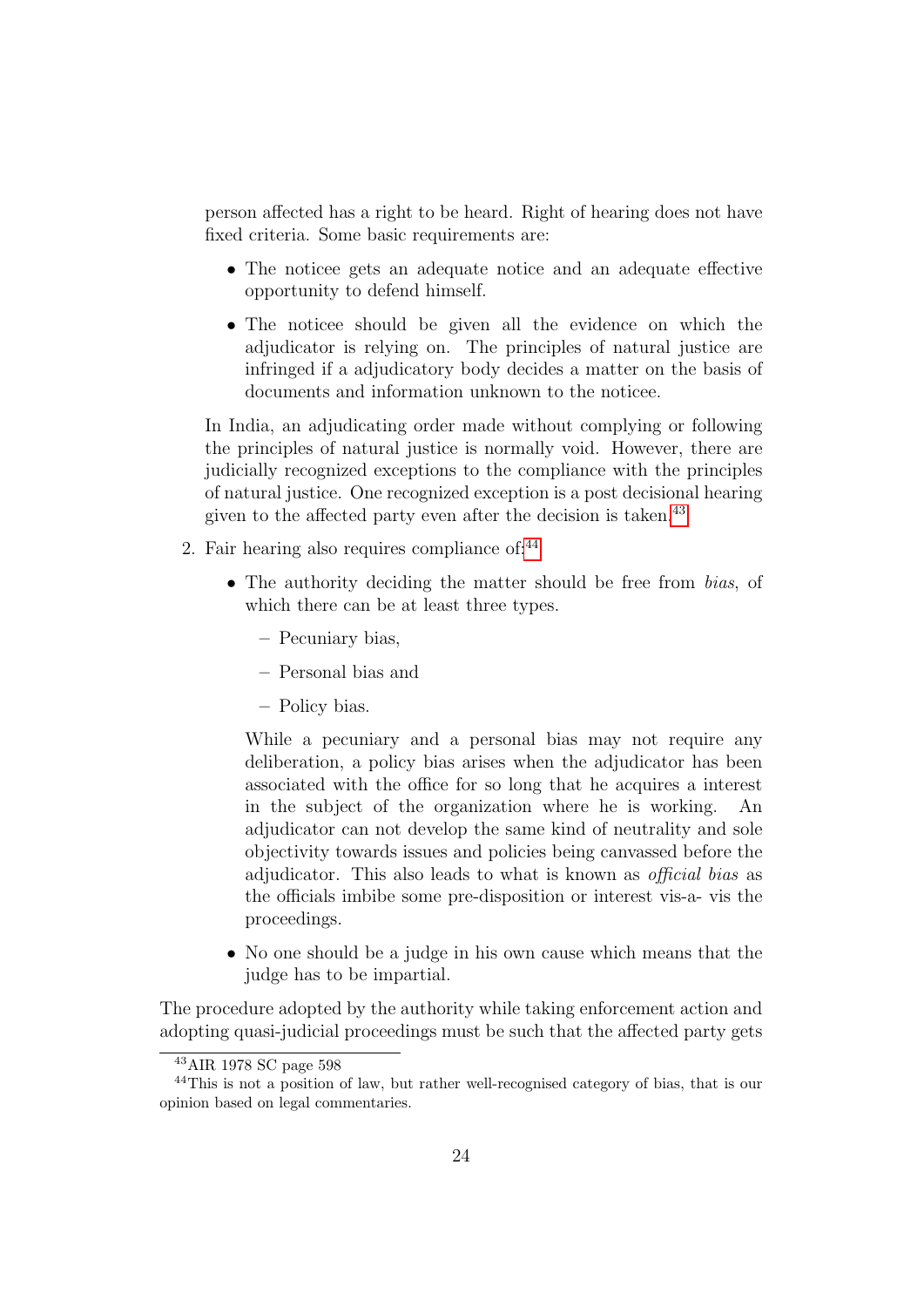person affected has a right to be heard. Right of hearing does not have fixed criteria. Some basic requirements are:

- The noticee gets an adequate notice and an adequate effective opportunity to defend himself.
- The noticee should be given all the evidence on which the adjudicator is relying on. The principles of natural justice are infringed if a adjudicatory body decides a matter on the basis of documents and information unknown to the noticee.

In India, an adjudicating order made without complying or following the principles of natural justice is normally void. However, there are judicially recognized exceptions to the compliance with the principles of natural justice. One recognized exception is a post decisional hearing given to the affected party even after the decision is taken.<sup>[43](#page-25-0)</sup>

- 2. Fair hearing also requires compliance of: $44$ 
	- The authority deciding the matter should be free from *bias*, of which there can be at least three types.
		- Pecuniary bias,
		- Personal bias and
		- Policy bias.

While a pecuniary and a personal bias may not require any deliberation, a policy bias arises when the adjudicator has been associated with the office for so long that he acquires a interest in the subject of the organization where he is working. An adjudicator can not develop the same kind of neutrality and sole objectivity towards issues and policies being canvassed before the adjudicator. This also leads to what is known as official bias as the officials imbibe some pre-disposition or interest vis-a- vis the proceedings.

• No one should be a judge in his own cause which means that the judge has to be impartial.

The procedure adopted by the authority while taking enforcement action and adopting quasi-judicial proceedings must be such that the affected party gets

<span id="page-25-1"></span><span id="page-25-0"></span><sup>43</sup>AIR 1978 SC page 598

<sup>44</sup>This is not a position of law, but rather well-recognised category of bias, that is our opinion based on legal commentaries.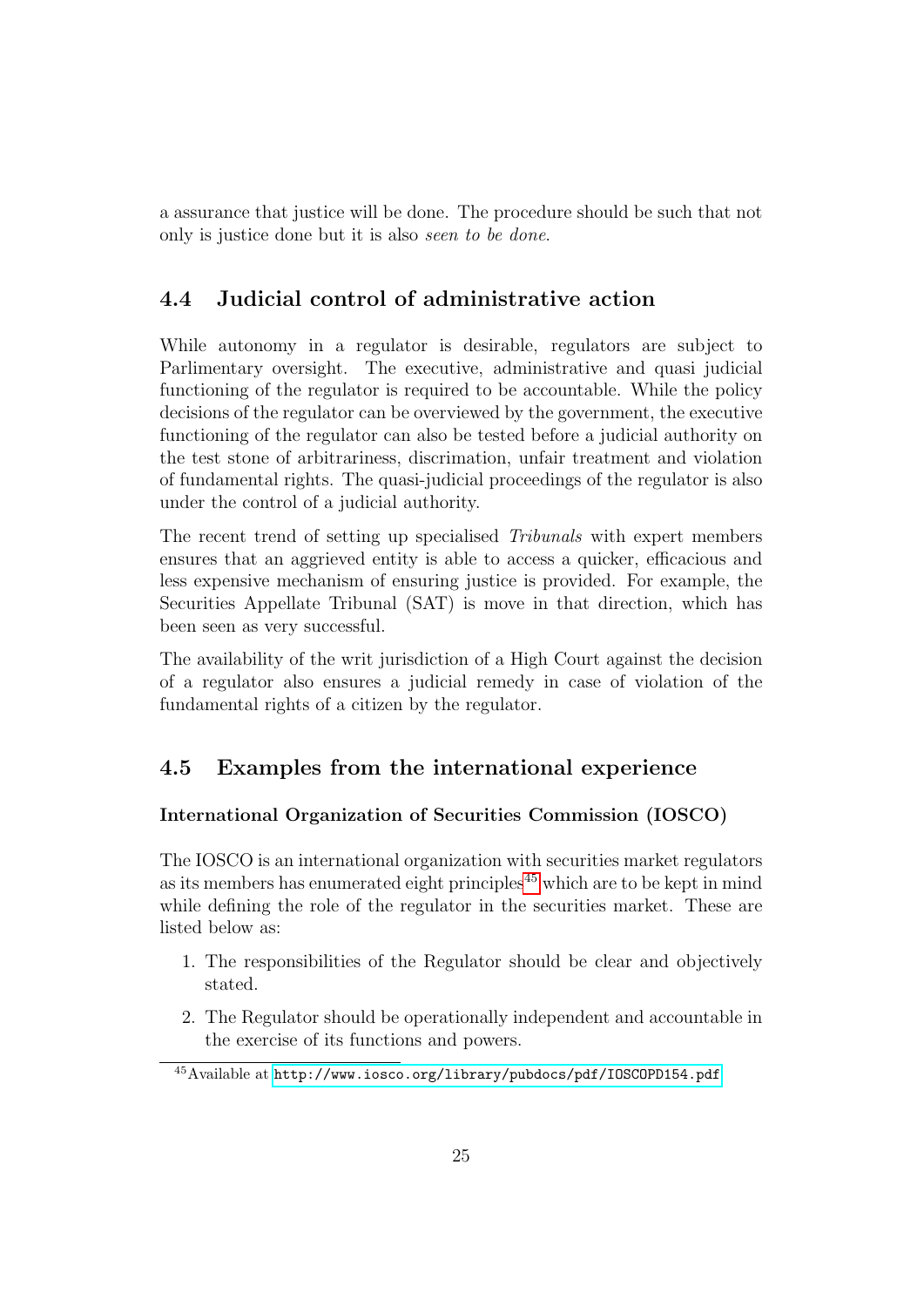a assurance that justice will be done. The procedure should be such that not only is justice done but it is also seen to be done.

### <span id="page-26-0"></span>4.4 Judicial control of administrative action

While autonomy in a regulator is desirable, regulators are subject to Parlimentary oversight. The executive, administrative and quasi judicial functioning of the regulator is required to be accountable. While the policy decisions of the regulator can be overviewed by the government, the executive functioning of the regulator can also be tested before a judicial authority on the test stone of arbitrariness, discrimation, unfair treatment and violation of fundamental rights. The quasi-judicial proceedings of the regulator is also under the control of a judicial authority.

The recent trend of setting up specialised Tribunals with expert members ensures that an aggrieved entity is able to access a quicker, efficacious and less expensive mechanism of ensuring justice is provided. For example, the Securities Appellate Tribunal (SAT) is move in that direction, which has been seen as very successful.

The availability of the writ jurisdiction of a High Court against the decision of a regulator also ensures a judicial remedy in case of violation of the fundamental rights of a citizen by the regulator.

### <span id="page-26-1"></span>4.5 Examples from the international experience

### International Organization of Securities Commission (IOSCO)

The IOSCO is an international organization with securities market regulators as its members has enumerated eight principles<sup> $45$ </sup> which are to be kept in mind while defining the role of the regulator in the securities market. These are listed below as:

- 1. The responsibilities of the Regulator should be clear and objectively stated.
- 2. The Regulator should be operationally independent and accountable in the exercise of its functions and powers.

<span id="page-26-2"></span><sup>45</sup>Available at <http://www.iosco.org/library/pubdocs/pdf/IOSCOPD154.pdf>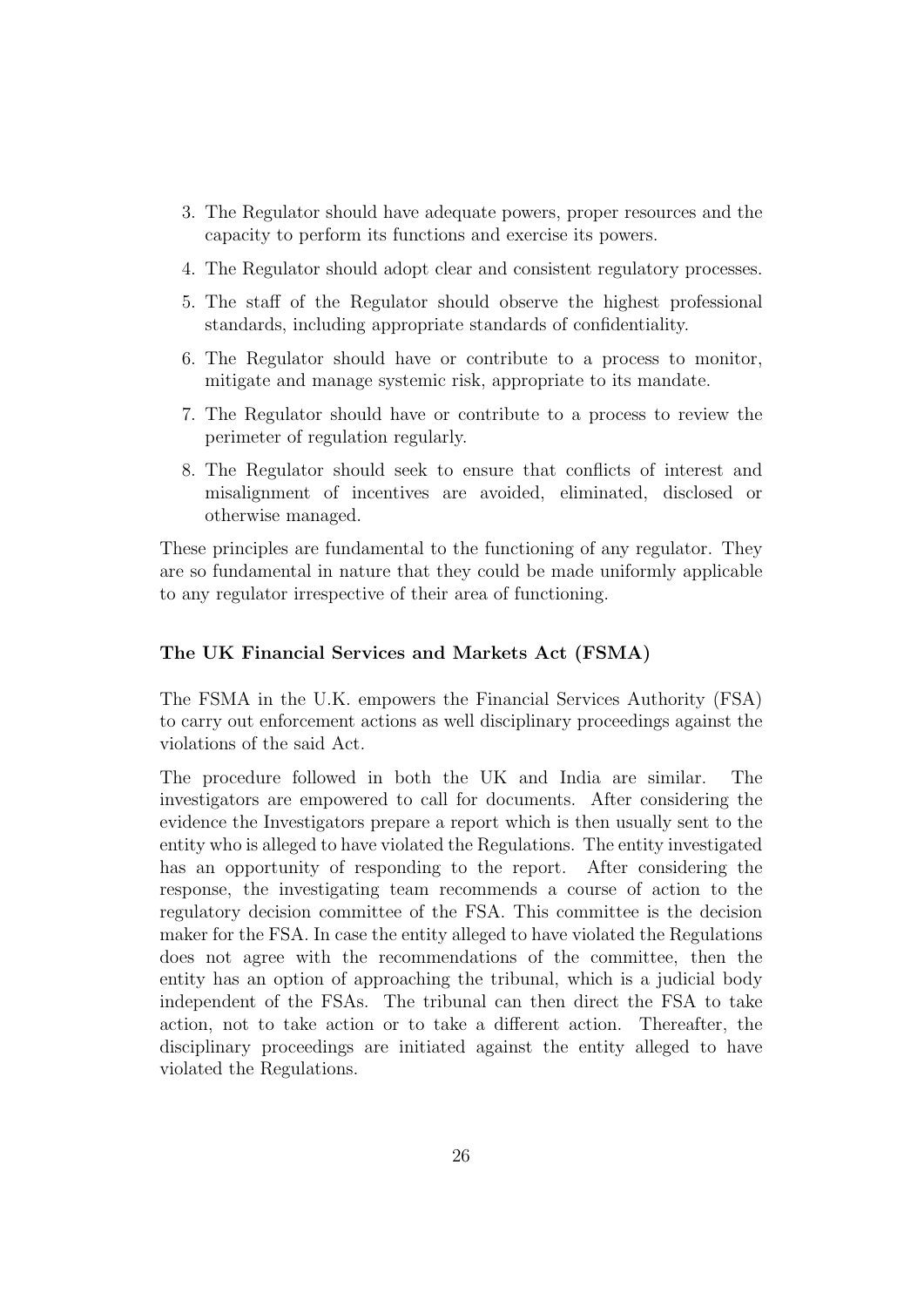- 3. The Regulator should have adequate powers, proper resources and the capacity to perform its functions and exercise its powers.
- 4. The Regulator should adopt clear and consistent regulatory processes.
- 5. The staff of the Regulator should observe the highest professional standards, including appropriate standards of confidentiality.
- 6. The Regulator should have or contribute to a process to monitor, mitigate and manage systemic risk, appropriate to its mandate.
- 7. The Regulator should have or contribute to a process to review the perimeter of regulation regularly.
- 8. The Regulator should seek to ensure that conflicts of interest and misalignment of incentives are avoided, eliminated, disclosed or otherwise managed.

These principles are fundamental to the functioning of any regulator. They are so fundamental in nature that they could be made uniformly applicable to any regulator irrespective of their area of functioning.

#### The UK Financial Services and Markets Act (FSMA)

The FSMA in the U.K. empowers the Financial Services Authority (FSA) to carry out enforcement actions as well disciplinary proceedings against the violations of the said Act.

The procedure followed in both the UK and India are similar. The investigators are empowered to call for documents. After considering the evidence the Investigators prepare a report which is then usually sent to the entity who is alleged to have violated the Regulations. The entity investigated has an opportunity of responding to the report. After considering the response, the investigating team recommends a course of action to the regulatory decision committee of the FSA. This committee is the decision maker for the FSA. In case the entity alleged to have violated the Regulations does not agree with the recommendations of the committee, then the entity has an option of approaching the tribunal, which is a judicial body independent of the FSAs. The tribunal can then direct the FSA to take action, not to take action or to take a different action. Thereafter, the disciplinary proceedings are initiated against the entity alleged to have violated the Regulations.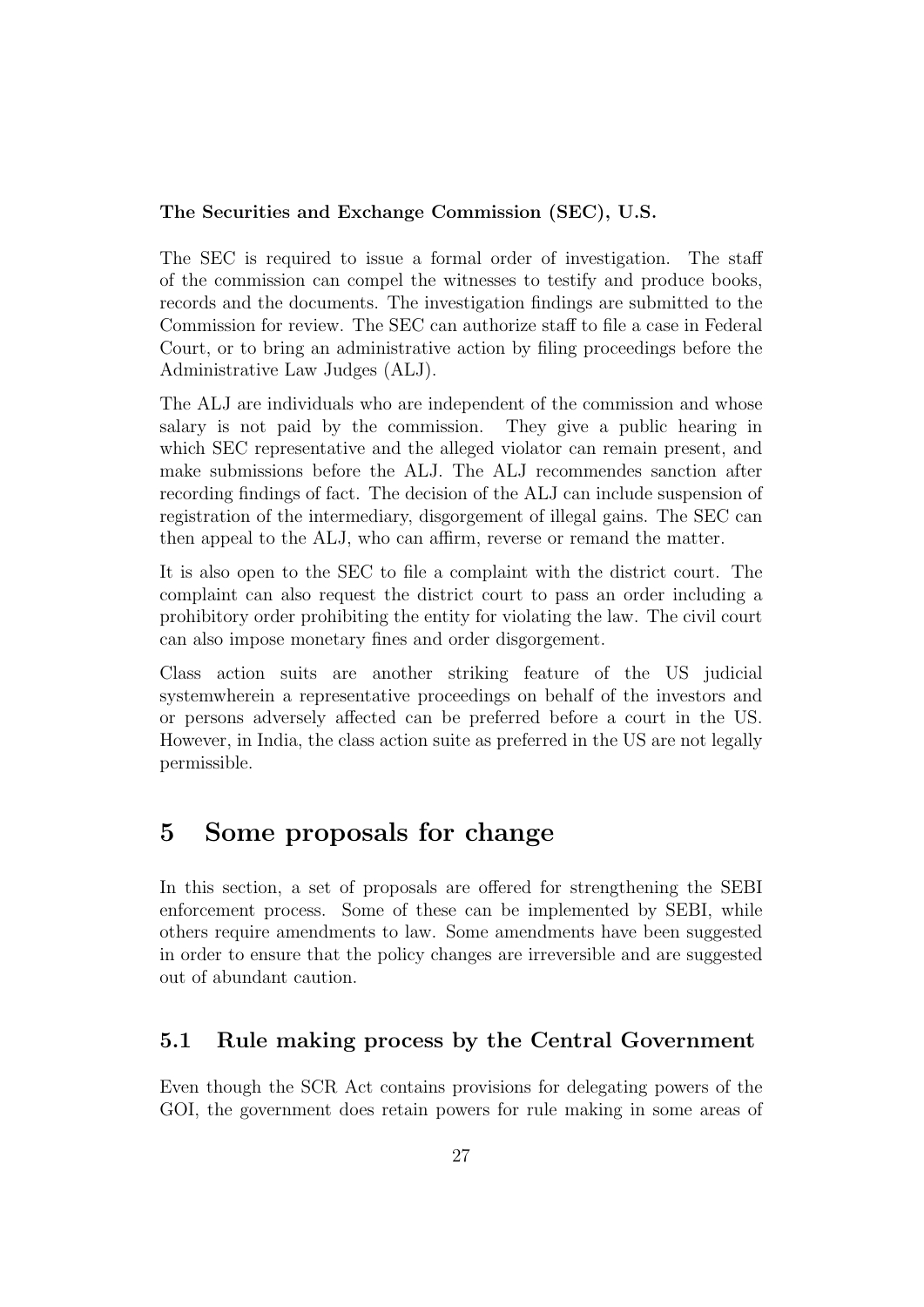### The Securities and Exchange Commission (SEC), U.S.

The SEC is required to issue a formal order of investigation. The staff of the commission can compel the witnesses to testify and produce books, records and the documents. The investigation findings are submitted to the Commission for review. The SEC can authorize staff to file a case in Federal Court, or to bring an administrative action by filing proceedings before the Administrative Law Judges (ALJ).

The ALJ are individuals who are independent of the commission and whose salary is not paid by the commission. They give a public hearing in which SEC representative and the alleged violator can remain present, and make submissions before the ALJ. The ALJ recommendes sanction after recording findings of fact. The decision of the ALJ can include suspension of registration of the intermediary, disgorgement of illegal gains. The SEC can then appeal to the ALJ, who can affirm, reverse or remand the matter.

It is also open to the SEC to file a complaint with the district court. The complaint can also request the district court to pass an order including a prohibitory order prohibiting the entity for violating the law. The civil court can also impose monetary fines and order disgorgement.

Class action suits are another striking feature of the US judicial systemwherein a representative proceedings on behalf of the investors and or persons adversely affected can be preferred before a court in the US. However, in India, the class action suite as preferred in the US are not legally permissible.

### <span id="page-28-0"></span>5 Some proposals for change

In this section, a set of proposals are offered for strengthening the SEBI enforcement process. Some of these can be implemented by SEBI, while others require amendments to law. Some amendments have been suggested in order to ensure that the policy changes are irreversible and are suggested out of abundant caution.

### <span id="page-28-1"></span>5.1 Rule making process by the Central Government

Even though the SCR Act contains provisions for delegating powers of the GOI, the government does retain powers for rule making in some areas of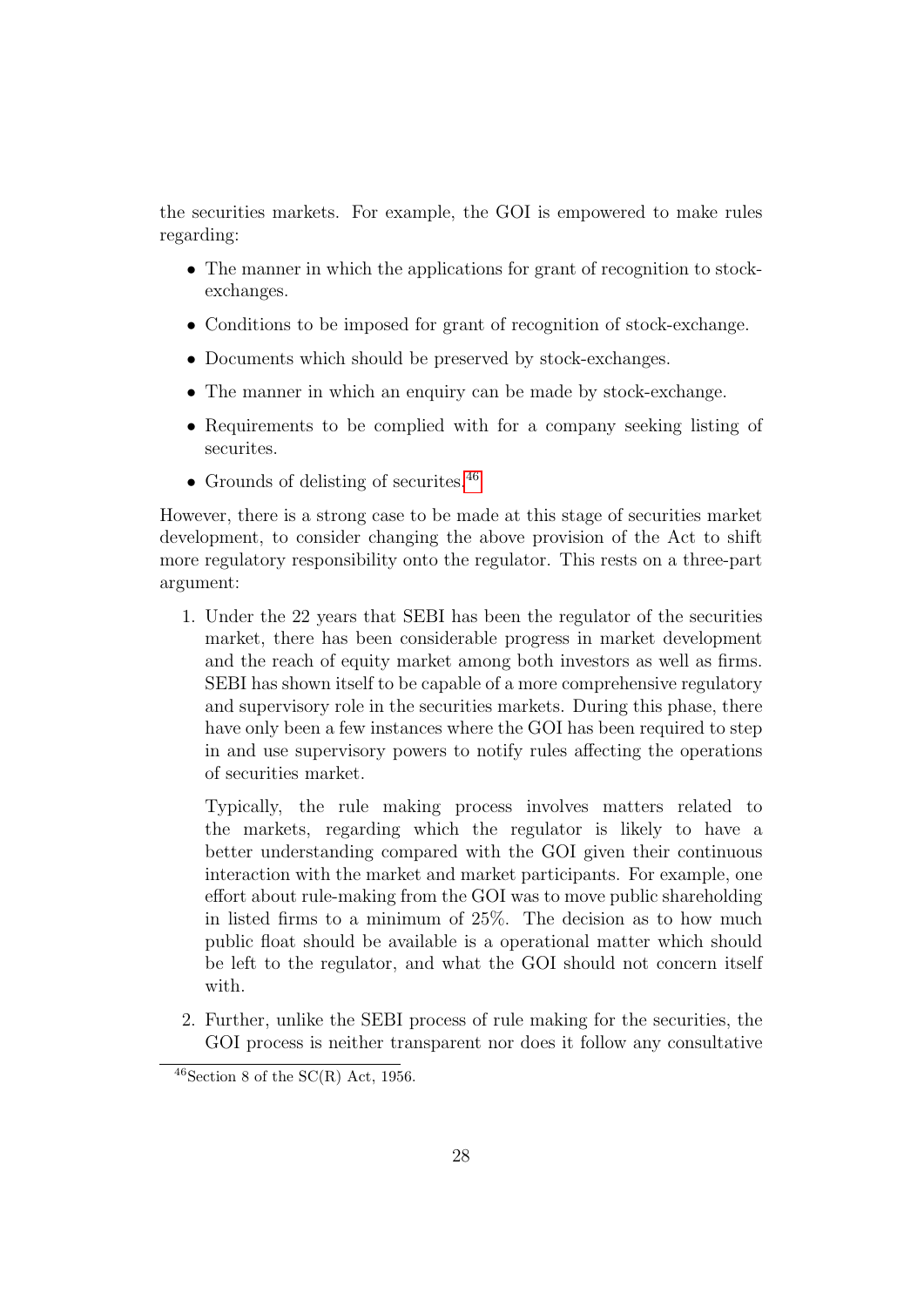the securities markets. For example, the GOI is empowered to make rules regarding:

- The manner in which the applications for grant of recognition to stockexchanges.
- Conditions to be imposed for grant of recognition of stock-exchange.
- Documents which should be preserved by stock-exchanges.
- The manner in which an enquiry can be made by stock-exchange.
- Requirements to be complied with for a company seeking listing of securites.
- Grounds of delisting of securities.<sup>[46](#page-29-0)</sup>

However, there is a strong case to be made at this stage of securities market development, to consider changing the above provision of the Act to shift more regulatory responsibility onto the regulator. This rests on a three-part argument:

1. Under the 22 years that SEBI has been the regulator of the securities market, there has been considerable progress in market development and the reach of equity market among both investors as well as firms. SEBI has shown itself to be capable of a more comprehensive regulatory and supervisory role in the securities markets. During this phase, there have only been a few instances where the GOI has been required to step in and use supervisory powers to notify rules affecting the operations of securities market.

Typically, the rule making process involves matters related to the markets, regarding which the regulator is likely to have a better understanding compared with the GOI given their continuous interaction with the market and market participants. For example, one effort about rule-making from the GOI was to move public shareholding in listed firms to a minimum of 25%. The decision as to how much public float should be available is a operational matter which should be left to the regulator, and what the GOI should not concern itself with.

2. Further, unlike the SEBI process of rule making for the securities, the GOI process is neither transparent nor does it follow any consultative

<span id="page-29-0"></span> $46$ Section 8 of the SC(R) Act, 1956.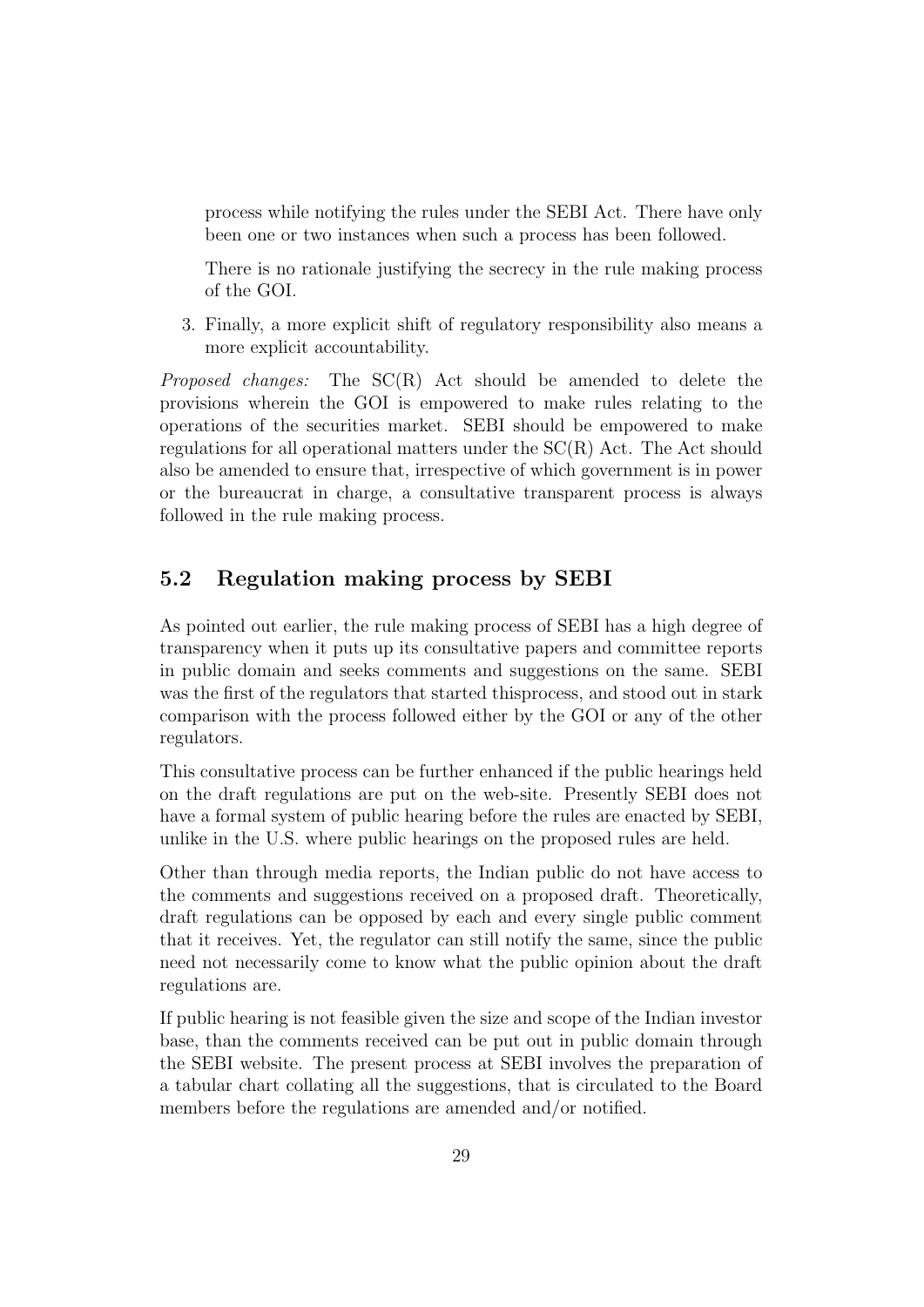process while notifying the rules under the SEBI Act. There have only been one or two instances when such a process has been followed.

There is no rationale justifying the secrecy in the rule making process of the GOI.

3. Finally, a more explicit shift of regulatory responsibility also means a more explicit accountability.

Proposed changes: The SC(R) Act should be amended to delete the provisions wherein the GOI is empowered to make rules relating to the operations of the securities market. SEBI should be empowered to make regulations for all operational matters under the SC(R) Act. The Act should also be amended to ensure that, irrespective of which government is in power or the bureaucrat in charge, a consultative transparent process is always followed in the rule making process.

### <span id="page-30-0"></span>5.2 Regulation making process by SEBI

As pointed out earlier, the rule making process of SEBI has a high degree of transparency when it puts up its consultative papers and committee reports in public domain and seeks comments and suggestions on the same. SEBI was the first of the regulators that started thisprocess, and stood out in stark comparison with the process followed either by the GOI or any of the other regulators.

This consultative process can be further enhanced if the public hearings held on the draft regulations are put on the web-site. Presently SEBI does not have a formal system of public hearing before the rules are enacted by SEBI, unlike in the U.S. where public hearings on the proposed rules are held.

Other than through media reports, the Indian public do not have access to the comments and suggestions received on a proposed draft. Theoretically, draft regulations can be opposed by each and every single public comment that it receives. Yet, the regulator can still notify the same, since the public need not necessarily come to know what the public opinion about the draft regulations are.

If public hearing is not feasible given the size and scope of the Indian investor base, than the comments received can be put out in public domain through the SEBI website. The present process at SEBI involves the preparation of a tabular chart collating all the suggestions, that is circulated to the Board members before the regulations are amended and/or notified.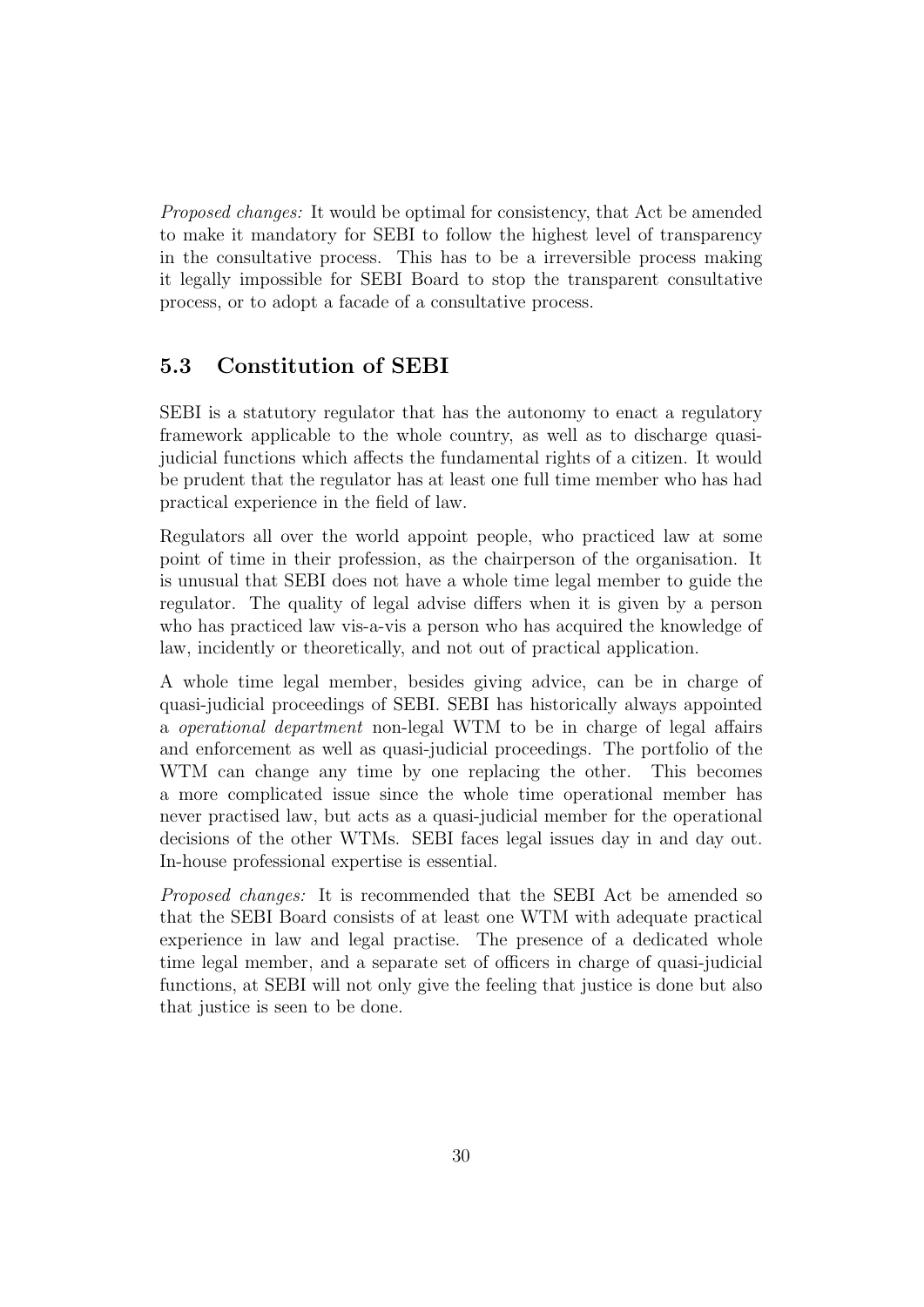Proposed changes: It would be optimal for consistency, that Act be amended to make it mandatory for SEBI to follow the highest level of transparency in the consultative process. This has to be a irreversible process making it legally impossible for SEBI Board to stop the transparent consultative process, or to adopt a facade of a consultative process.

### <span id="page-31-0"></span>5.3 Constitution of SEBI

SEBI is a statutory regulator that has the autonomy to enact a regulatory framework applicable to the whole country, as well as to discharge quasijudicial functions which affects the fundamental rights of a citizen. It would be prudent that the regulator has at least one full time member who has had practical experience in the field of law.

Regulators all over the world appoint people, who practiced law at some point of time in their profession, as the chairperson of the organisation. It is unusual that SEBI does not have a whole time legal member to guide the regulator. The quality of legal advise differs when it is given by a person who has practiced law vis-a-vis a person who has acquired the knowledge of law, incidently or theoretically, and not out of practical application.

A whole time legal member, besides giving advice, can be in charge of quasi-judicial proceedings of SEBI. SEBI has historically always appointed a operational department non-legal WTM to be in charge of legal affairs and enforcement as well as quasi-judicial proceedings. The portfolio of the WTM can change any time by one replacing the other. This becomes a more complicated issue since the whole time operational member has never practised law, but acts as a quasi-judicial member for the operational decisions of the other WTMs. SEBI faces legal issues day in and day out. In-house professional expertise is essential.

Proposed changes: It is recommended that the SEBI Act be amended so that the SEBI Board consists of at least one WTM with adequate practical experience in law and legal practise. The presence of a dedicated whole time legal member, and a separate set of officers in charge of quasi-judicial functions, at SEBI will not only give the feeling that justice is done but also that justice is seen to be done.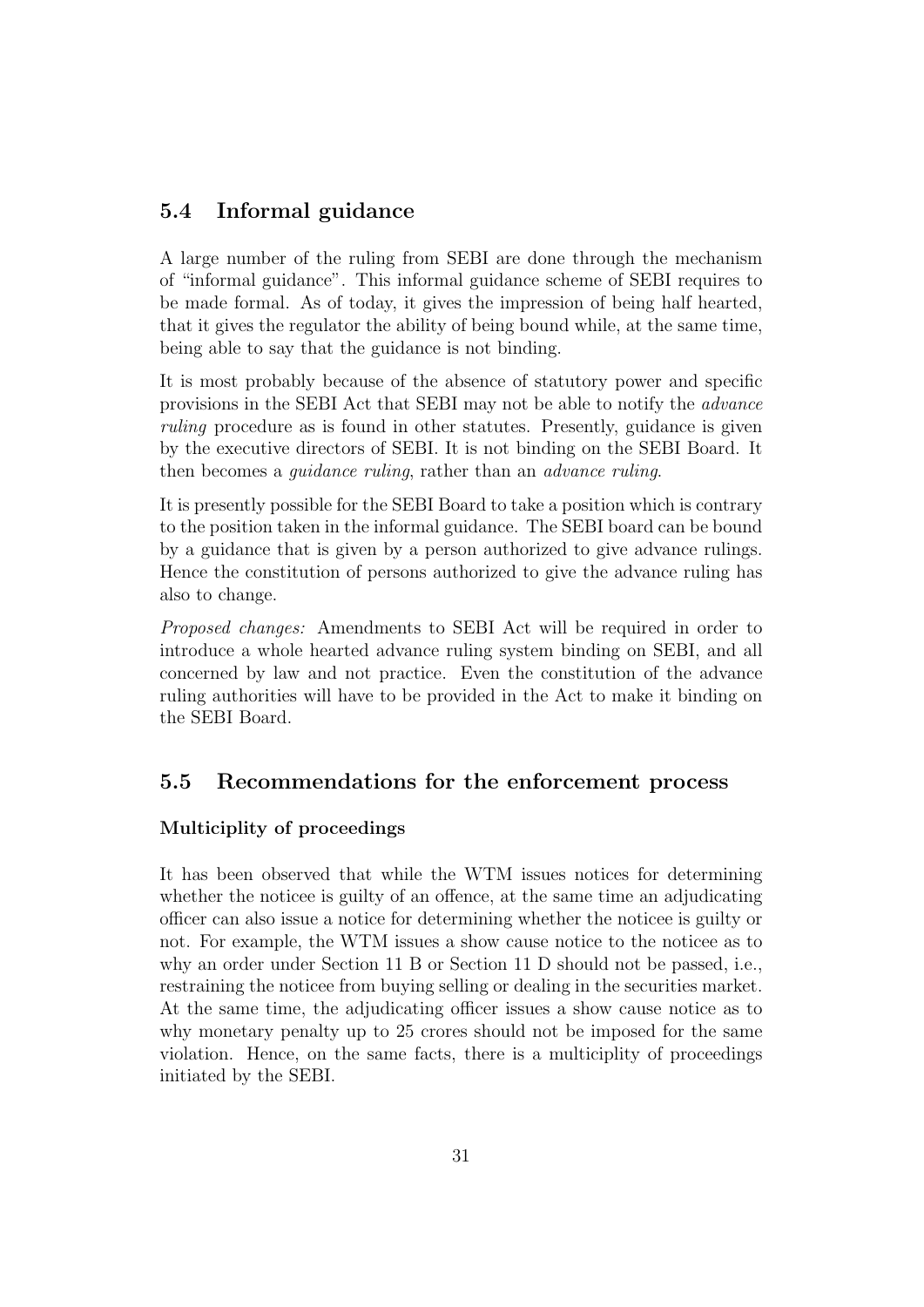### <span id="page-32-0"></span>5.4 Informal guidance

A large number of the ruling from SEBI are done through the mechanism of "informal guidance". This informal guidance scheme of SEBI requires to be made formal. As of today, it gives the impression of being half hearted, that it gives the regulator the ability of being bound while, at the same time, being able to say that the guidance is not binding.

It is most probably because of the absence of statutory power and specific provisions in the SEBI Act that SEBI may not be able to notify the advance ruling procedure as is found in other statutes. Presently, guidance is given by the executive directors of SEBI. It is not binding on the SEBI Board. It then becomes a guidance ruling, rather than an advance ruling.

It is presently possible for the SEBI Board to take a position which is contrary to the position taken in the informal guidance. The SEBI board can be bound by a guidance that is given by a person authorized to give advance rulings. Hence the constitution of persons authorized to give the advance ruling has also to change.

Proposed changes: Amendments to SEBI Act will be required in order to introduce a whole hearted advance ruling system binding on SEBI, and all concerned by law and not practice. Even the constitution of the advance ruling authorities will have to be provided in the Act to make it binding on the SEBI Board.

### <span id="page-32-1"></span>5.5 Recommendations for the enforcement process

### Multiciplity of proceedings

It has been observed that while the WTM issues notices for determining whether the noticee is guilty of an offence, at the same time an adjudicating officer can also issue a notice for determining whether the noticee is guilty or not. For example, the WTM issues a show cause notice to the noticee as to why an order under Section 11 B or Section 11 D should not be passed, i.e., restraining the noticee from buying selling or dealing in the securities market. At the same time, the adjudicating officer issues a show cause notice as to why monetary penalty up to 25 crores should not be imposed for the same violation. Hence, on the same facts, there is a multiciplity of proceedings initiated by the SEBI.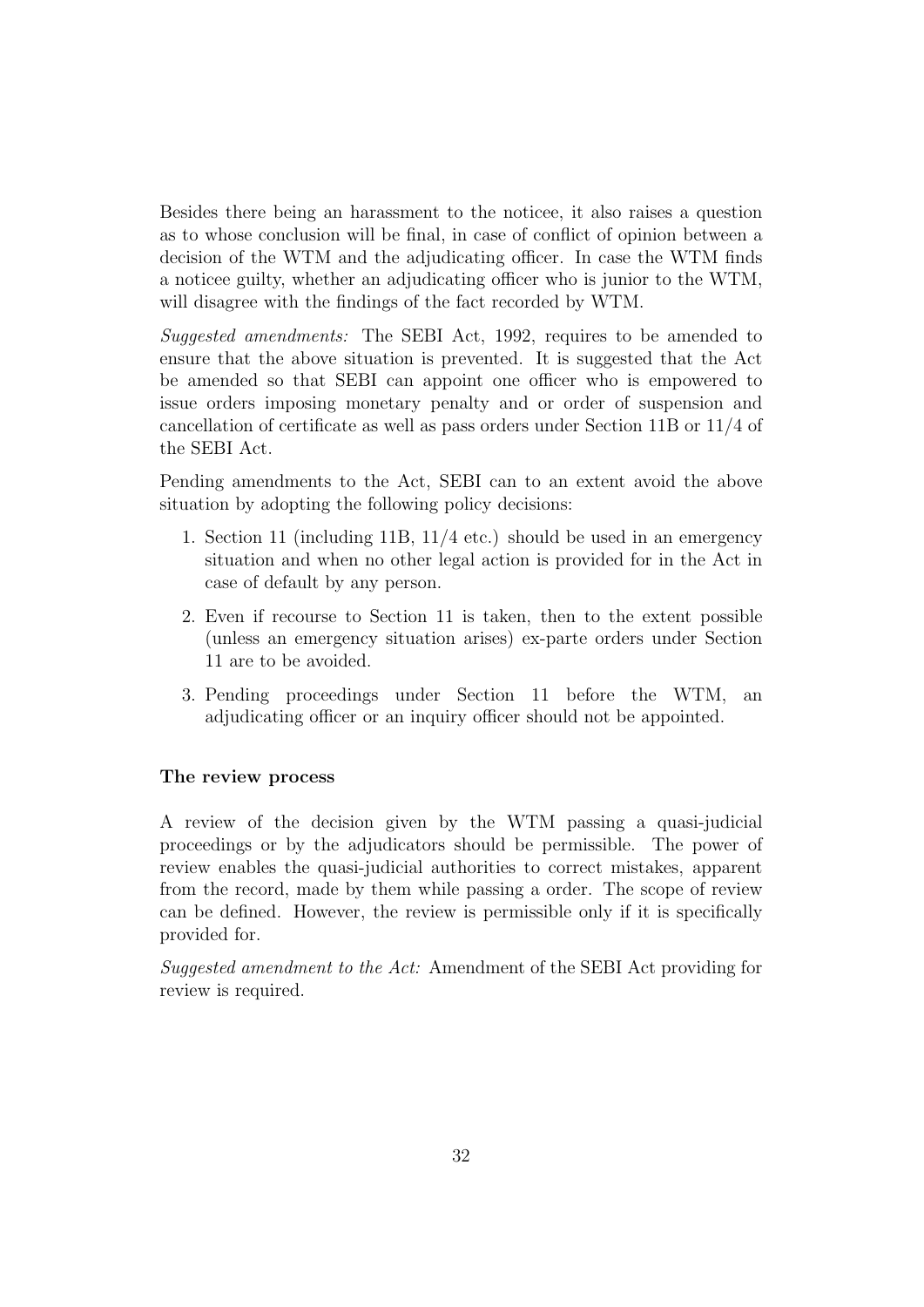Besides there being an harassment to the noticee, it also raises a question as to whose conclusion will be final, in case of conflict of opinion between a decision of the WTM and the adjudicating officer. In case the WTM finds a noticee guilty, whether an adjudicating officer who is junior to the WTM, will disagree with the findings of the fact recorded by WTM.

Suggested amendments: The SEBI Act, 1992, requires to be amended to ensure that the above situation is prevented. It is suggested that the Act be amended so that SEBI can appoint one officer who is empowered to issue orders imposing monetary penalty and or order of suspension and cancellation of certificate as well as pass orders under Section 11B or 11/4 of the SEBI Act.

Pending amendments to the Act, SEBI can to an extent avoid the above situation by adopting the following policy decisions:

- 1. Section 11 (including 11B, 11/4 etc.) should be used in an emergency situation and when no other legal action is provided for in the Act in case of default by any person.
- 2. Even if recourse to Section 11 is taken, then to the extent possible (unless an emergency situation arises) ex-parte orders under Section 11 are to be avoided.
- 3. Pending proceedings under Section 11 before the WTM, an adjudicating officer or an inquiry officer should not be appointed.

#### The review process

A review of the decision given by the WTM passing a quasi-judicial proceedings or by the adjudicators should be permissible. The power of review enables the quasi-judicial authorities to correct mistakes, apparent from the record, made by them while passing a order. The scope of review can be defined. However, the review is permissible only if it is specifically provided for.

Suggested amendment to the Act: Amendment of the SEBI Act providing for review is required.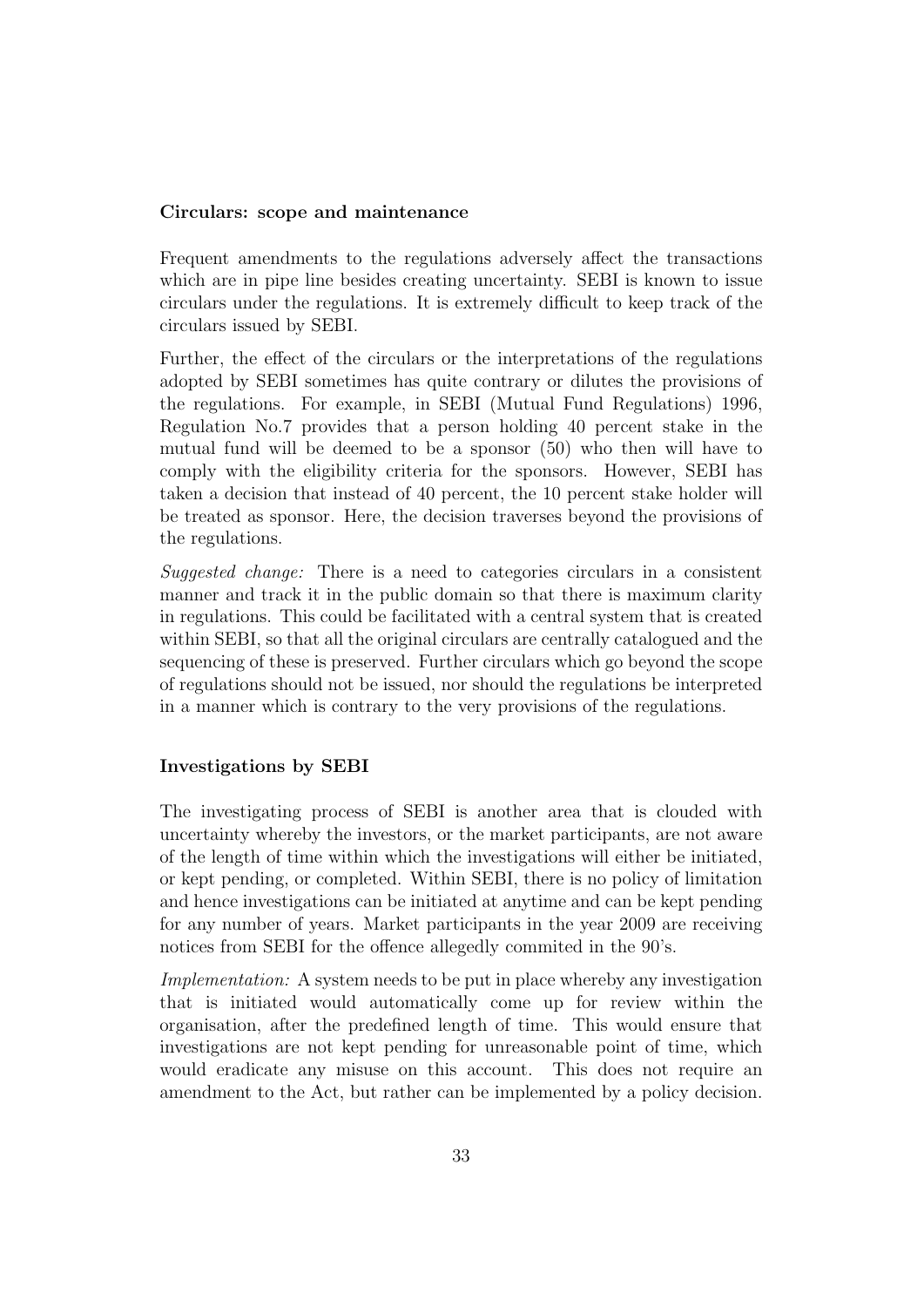#### Circulars: scope and maintenance

Frequent amendments to the regulations adversely affect the transactions which are in pipe line besides creating uncertainty. SEBI is known to issue circulars under the regulations. It is extremely difficult to keep track of the circulars issued by SEBI.

Further, the effect of the circulars or the interpretations of the regulations adopted by SEBI sometimes has quite contrary or dilutes the provisions of the regulations. For example, in SEBI (Mutual Fund Regulations) 1996, Regulation No.7 provides that a person holding 40 percent stake in the mutual fund will be deemed to be a sponsor (50) who then will have to comply with the eligibility criteria for the sponsors. However, SEBI has taken a decision that instead of 40 percent, the 10 percent stake holder will be treated as sponsor. Here, the decision traverses beyond the provisions of the regulations.

Suggested change: There is a need to categories circulars in a consistent manner and track it in the public domain so that there is maximum clarity in regulations. This could be facilitated with a central system that is created within SEBI, so that all the original circulars are centrally catalogued and the sequencing of these is preserved. Further circulars which go beyond the scope of regulations should not be issued, nor should the regulations be interpreted in a manner which is contrary to the very provisions of the regulations.

#### Investigations by SEBI

The investigating process of SEBI is another area that is clouded with uncertainty whereby the investors, or the market participants, are not aware of the length of time within which the investigations will either be initiated, or kept pending, or completed. Within SEBI, there is no policy of limitation and hence investigations can be initiated at anytime and can be kept pending for any number of years. Market participants in the year 2009 are receiving notices from SEBI for the offence allegedly commited in the 90's.

Implementation: A system needs to be put in place whereby any investigation that is initiated would automatically come up for review within the organisation, after the predefined length of time. This would ensure that investigations are not kept pending for unreasonable point of time, which would eradicate any misuse on this account. This does not require an amendment to the Act, but rather can be implemented by a policy decision.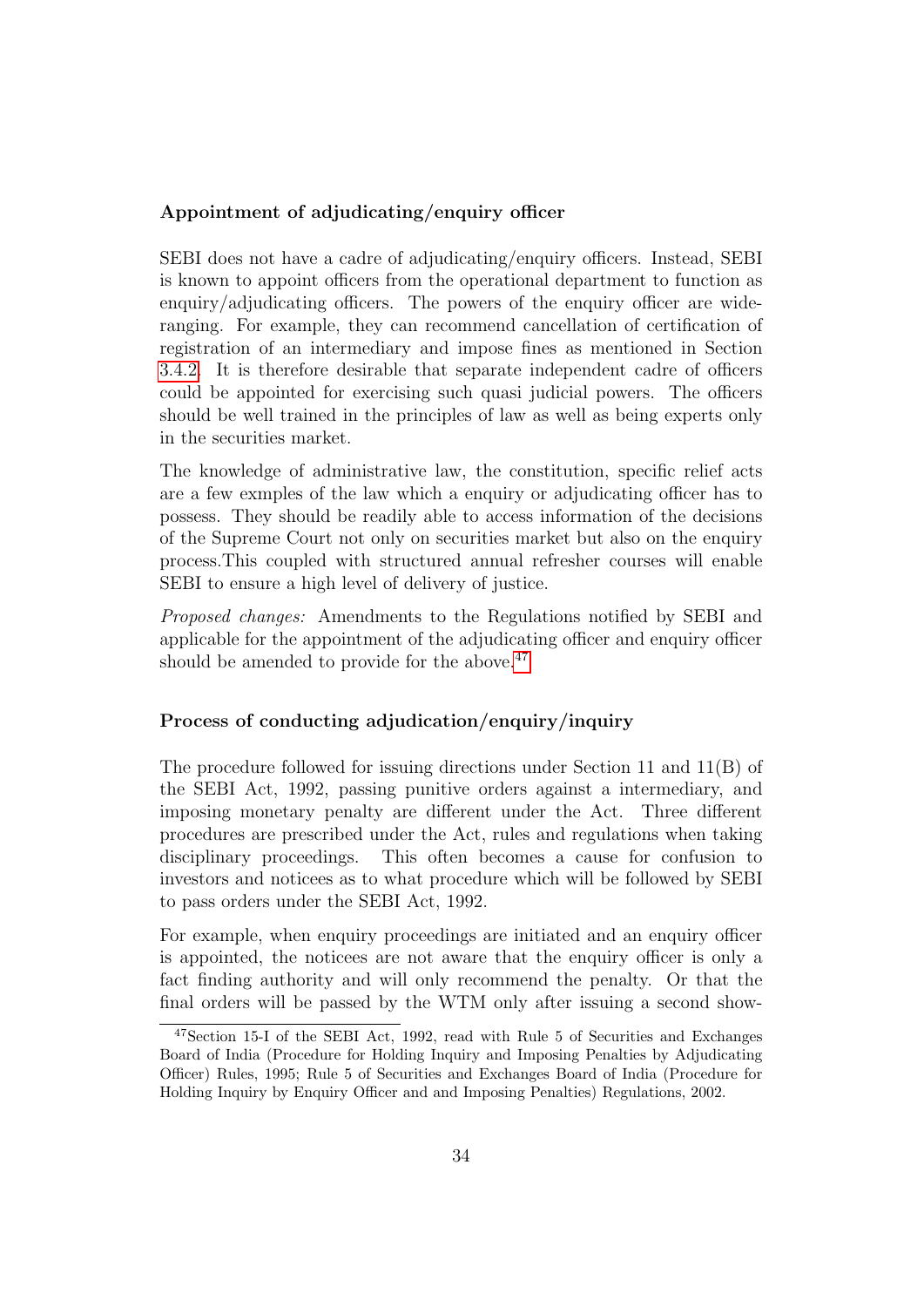### Appointment of adjudicating/enquiry officer

SEBI does not have a cadre of adjudicating/enquiry officers. Instead, SEBI is known to appoint officers from the operational department to function as enquiry/adjudicating officers. The powers of the enquiry officer are wideranging. For example, they can recommend cancellation of certification of registration of an intermediary and impose fines as mentioned in Section [3.4.2.](#page-17-0) It is therefore desirable that separate independent cadre of officers could be appointed for exercising such quasi judicial powers. The officers should be well trained in the principles of law as well as being experts only in the securities market.

The knowledge of administrative law, the constitution, specific relief acts are a few exmples of the law which a enquiry or adjudicating officer has to possess. They should be readily able to access information of the decisions of the Supreme Court not only on securities market but also on the enquiry process.This coupled with structured annual refresher courses will enable SEBI to ensure a high level of delivery of justice.

Proposed changes: Amendments to the Regulations notified by SEBI and applicable for the appointment of the adjudicating officer and enquiry officer should be amended to provide for the above.<sup>[47](#page-35-0)</sup>

### Process of conducting adjudication/enquiry/inquiry

The procedure followed for issuing directions under Section 11 and 11(B) of the SEBI Act, 1992, passing punitive orders against a intermediary, and imposing monetary penalty are different under the Act. Three different procedures are prescribed under the Act, rules and regulations when taking disciplinary proceedings. This often becomes a cause for confusion to investors and noticees as to what procedure which will be followed by SEBI to pass orders under the SEBI Act, 1992.

For example, when enquiry proceedings are initiated and an enquiry officer is appointed, the noticees are not aware that the enquiry officer is only a fact finding authority and will only recommend the penalty. Or that the final orders will be passed by the WTM only after issuing a second show-

<span id="page-35-0"></span><sup>47</sup>Section 15-I of the SEBI Act, 1992, read with Rule 5 of Securities and Exchanges Board of India (Procedure for Holding Inquiry and Imposing Penalties by Adjudicating Officer) Rules, 1995; Rule 5 of Securities and Exchanges Board of India (Procedure for Holding Inquiry by Enquiry Officer and and Imposing Penalties) Regulations, 2002.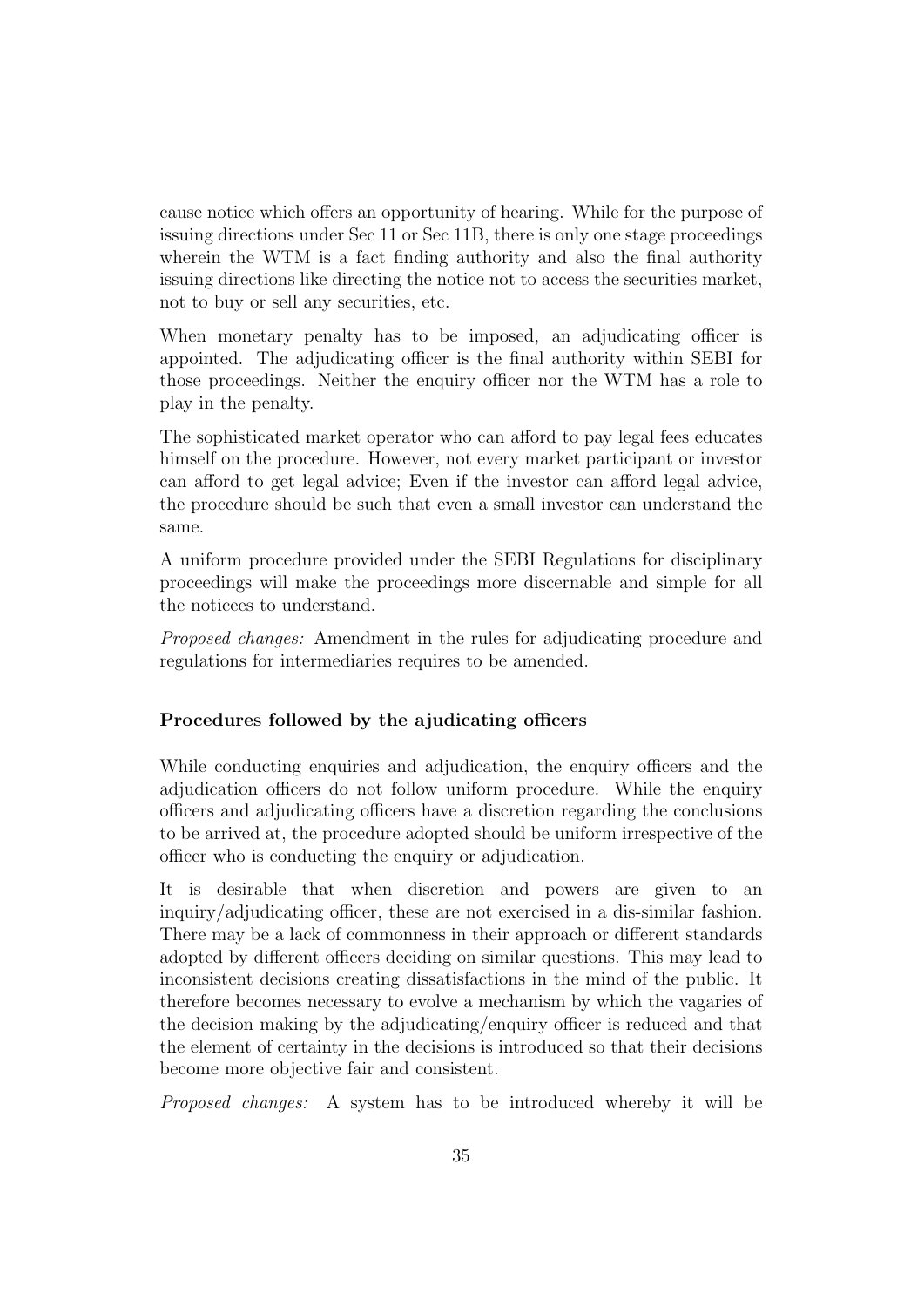cause notice which offers an opportunity of hearing. While for the purpose of issuing directions under Sec 11 or Sec 11B, there is only one stage proceedings wherein the WTM is a fact finding authority and also the final authority issuing directions like directing the notice not to access the securities market, not to buy or sell any securities, etc.

When monetary penalty has to be imposed, an adjudicating officer is appointed. The adjudicating officer is the final authority within SEBI for those proceedings. Neither the enquiry officer nor the WTM has a role to play in the penalty.

The sophisticated market operator who can afford to pay legal fees educates himself on the procedure. However, not every market participant or investor can afford to get legal advice; Even if the investor can afford legal advice, the procedure should be such that even a small investor can understand the same.

A uniform procedure provided under the SEBI Regulations for disciplinary proceedings will make the proceedings more discernable and simple for all the noticees to understand.

Proposed changes: Amendment in the rules for adjudicating procedure and regulations for intermediaries requires to be amended.

### Procedures followed by the ajudicating officers

While conducting enquiries and adjudication, the enquiry officers and the adjudication officers do not follow uniform procedure. While the enquiry officers and adjudicating officers have a discretion regarding the conclusions to be arrived at, the procedure adopted should be uniform irrespective of the officer who is conducting the enquiry or adjudication.

It is desirable that when discretion and powers are given to an inquiry/adjudicating officer, these are not exercised in a dis-similar fashion. There may be a lack of commonness in their approach or different standards adopted by different officers deciding on similar questions. This may lead to inconsistent decisions creating dissatisfactions in the mind of the public. It therefore becomes necessary to evolve a mechanism by which the vagaries of the decision making by the adjudicating/enquiry officer is reduced and that the element of certainty in the decisions is introduced so that their decisions become more objective fair and consistent.

Proposed changes: A system has to be introduced whereby it will be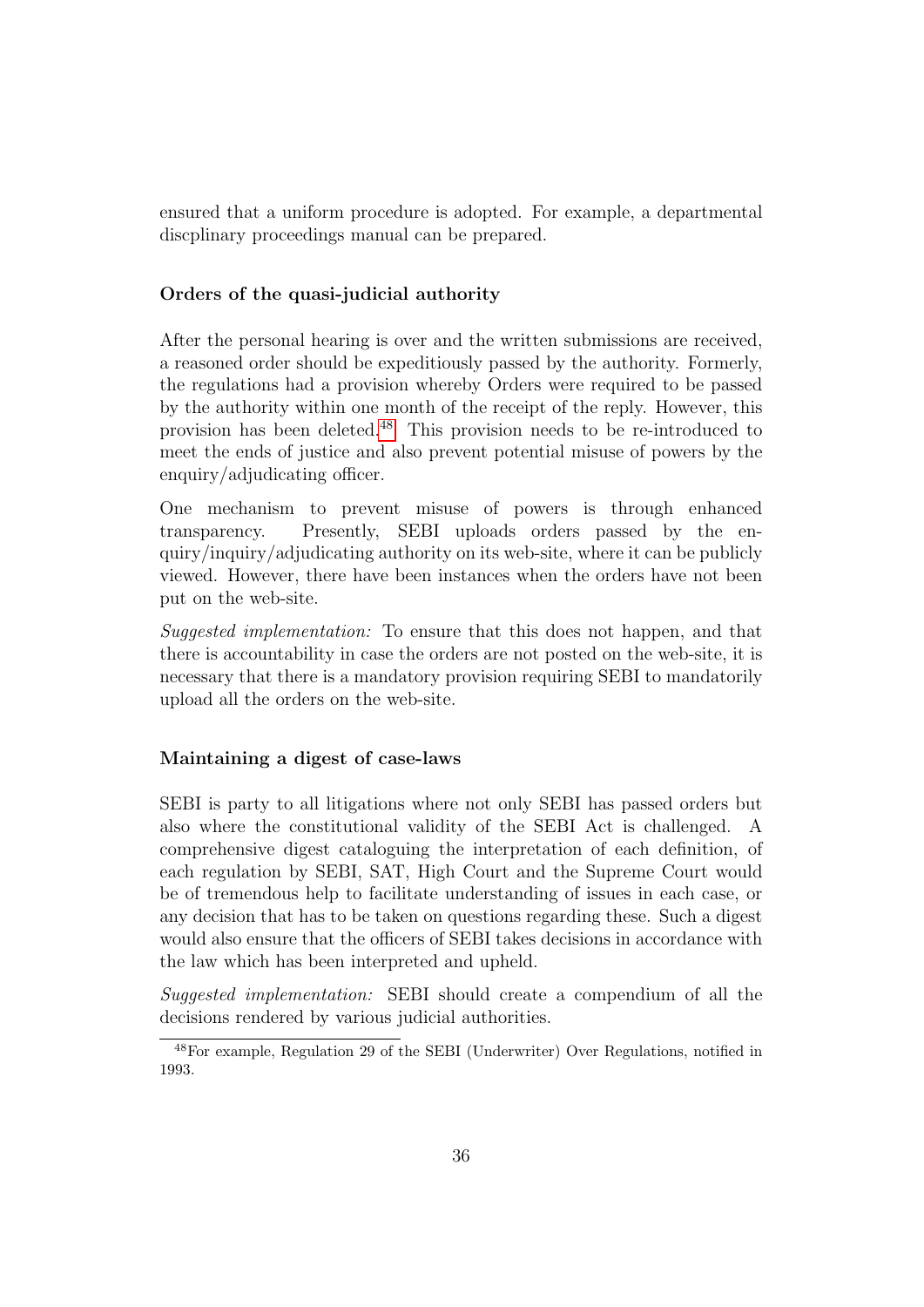ensured that a uniform procedure is adopted. For example, a departmental discplinary proceedings manual can be prepared.

### Orders of the quasi-judicial authority

After the personal hearing is over and the written submissions are received, a reasoned order should be expeditiously passed by the authority. Formerly, the regulations had a provision whereby Orders were required to be passed by the authority within one month of the receipt of the reply. However, this provision has been deleted.[48](#page-37-0) This provision needs to be re-introduced to meet the ends of justice and also prevent potential misuse of powers by the enquiry/adjudicating officer.

One mechanism to prevent misuse of powers is through enhanced transparency. Presently, SEBI uploads orders passed by the enquiry/inquiry/adjudicating authority on its web-site, where it can be publicly viewed. However, there have been instances when the orders have not been put on the web-site.

Suggested implementation: To ensure that this does not happen, and that there is accountability in case the orders are not posted on the web-site, it is necessary that there is a mandatory provision requiring SEBI to mandatorily upload all the orders on the web-site.

#### Maintaining a digest of case-laws

SEBI is party to all litigations where not only SEBI has passed orders but also where the constitutional validity of the SEBI Act is challenged. A comprehensive digest cataloguing the interpretation of each definition, of each regulation by SEBI, SAT, High Court and the Supreme Court would be of tremendous help to facilitate understanding of issues in each case, or any decision that has to be taken on questions regarding these. Such a digest would also ensure that the officers of SEBI takes decisions in accordance with the law which has been interpreted and upheld.

Suggested implementation: SEBI should create a compendium of all the decisions rendered by various judicial authorities.

<span id="page-37-0"></span><sup>48</sup>For example, Regulation 29 of the SEBI (Underwriter) Over Regulations, notified in 1993.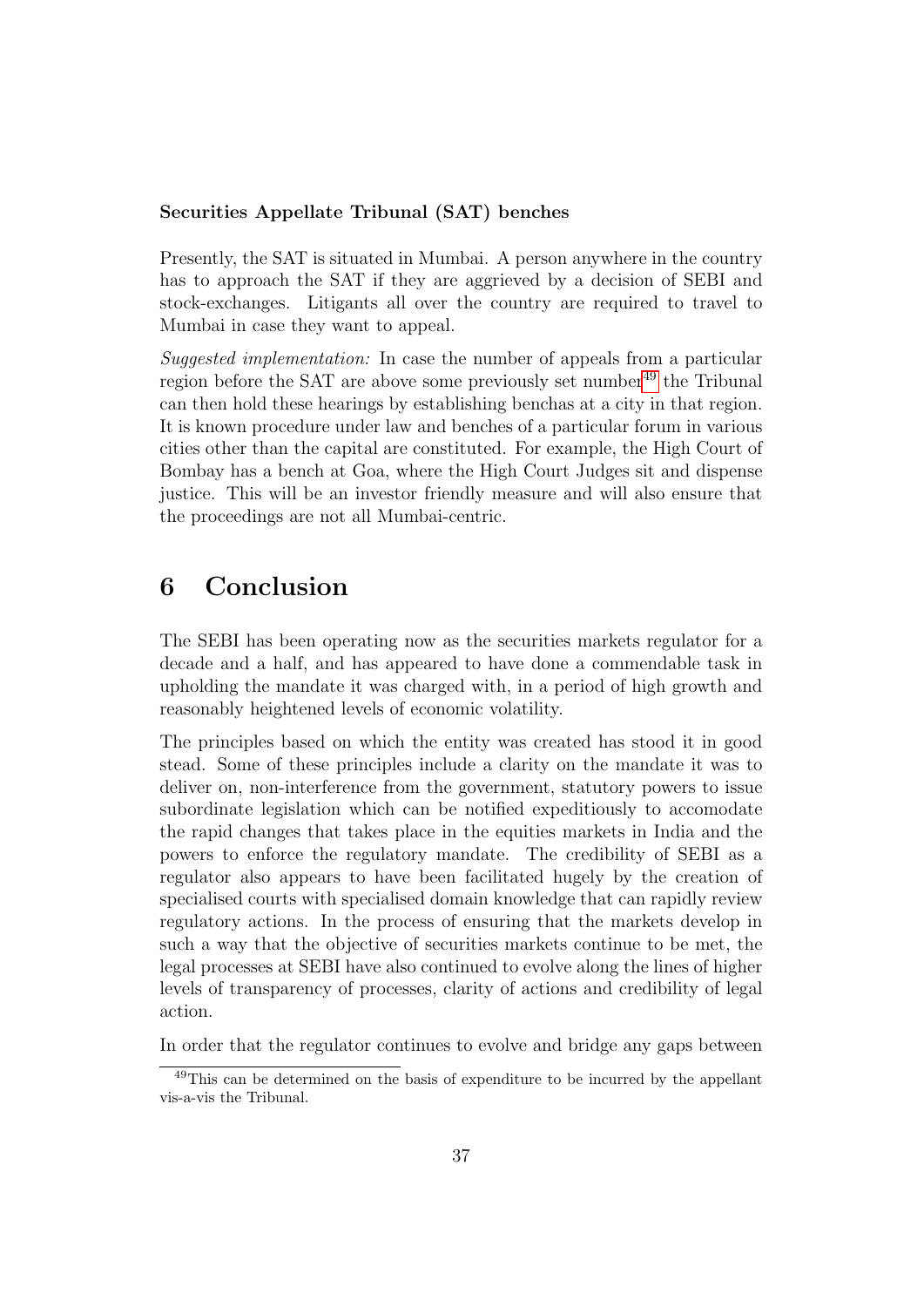### Securities Appellate Tribunal (SAT) benches

Presently, the SAT is situated in Mumbai. A person anywhere in the country has to approach the SAT if they are aggrieved by a decision of SEBI and stock-exchanges. Litigants all over the country are required to travel to Mumbai in case they want to appeal.

Suggested implementation: In case the number of appeals from a particular region before the SAT are above some previously set number<sup>[49](#page-38-1)</sup> the Tribunal can then hold these hearings by establishing benchas at a city in that region. It is known procedure under law and benches of a particular forum in various cities other than the capital are constituted. For example, the High Court of Bombay has a bench at Goa, where the High Court Judges sit and dispense justice. This will be an investor friendly measure and will also ensure that the proceedings are not all Mumbai-centric.

### <span id="page-38-0"></span>6 Conclusion

The SEBI has been operating now as the securities markets regulator for a decade and a half, and has appeared to have done a commendable task in upholding the mandate it was charged with, in a period of high growth and reasonably heightened levels of economic volatility.

The principles based on which the entity was created has stood it in good stead. Some of these principles include a clarity on the mandate it was to deliver on, non-interference from the government, statutory powers to issue subordinate legislation which can be notified expeditiously to accomodate the rapid changes that takes place in the equities markets in India and the powers to enforce the regulatory mandate. The credibility of SEBI as a regulator also appears to have been facilitated hugely by the creation of specialised courts with specialised domain knowledge that can rapidly review regulatory actions. In the process of ensuring that the markets develop in such a way that the objective of securities markets continue to be met, the legal processes at SEBI have also continued to evolve along the lines of higher levels of transparency of processes, clarity of actions and credibility of legal action.

In order that the regulator continues to evolve and bridge any gaps between

<span id="page-38-1"></span><sup>49</sup>This can be determined on the basis of expenditure to be incurred by the appellant vis-a-vis the Tribunal.